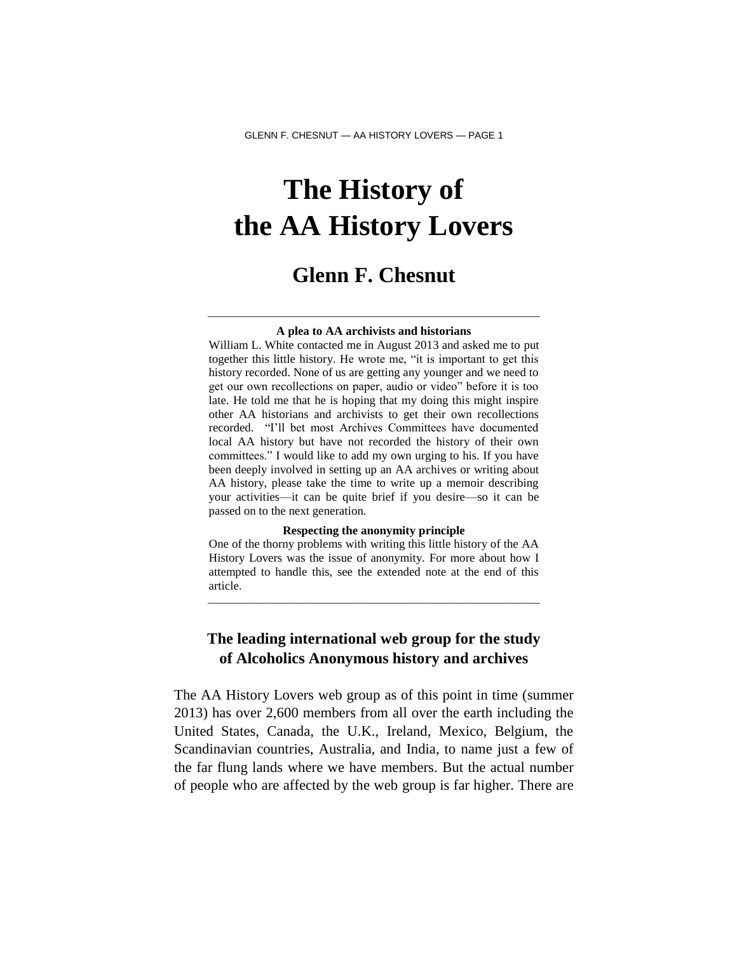# **The History of the AA History Lovers**

# **Glenn F. Chesnut**

### ——————————————————————— **A plea to AA archivists and historians**

William L. White contacted me in August 2013 and asked me to put together this little history. He wrote me, "it is important to get this history recorded. None of us are getting any younger and we need to get our own recollections on paper, audio or video" before it is too late. He told me that he is hoping that my doing this might inspire other AA historians and archivists to get their own recollections recorded. "I'll bet most Archives Committees have documented local AA history but have not recorded the history of their own committees." I would like to add my own urging to his. If you have been deeply involved in setting up an AA archives or writing about AA history, please take the time to write up a memoir describing your activities—it can be quite brief if you desire—so it can be passed on to the next generation.

#### **Respecting the anonymity principle**

One of the thorny problems with writing this little history of the AA History Lovers was the issue of anonymity. For more about how I attempted to handle this, see the extended note at the end of this article.

———————————————————————

### **The leading international web group for the study of Alcoholics Anonymous history and archives**

The AA History Lovers web group as of this point in time (summer 2013) has over 2,600 members from all over the earth including the United States, Canada, the U.K., Ireland, Mexico, Belgium, the Scandinavian countries, Australia, and India, to name just a few of the far flung lands where we have members. But the actual number of people who are affected by the web group is far higher. There are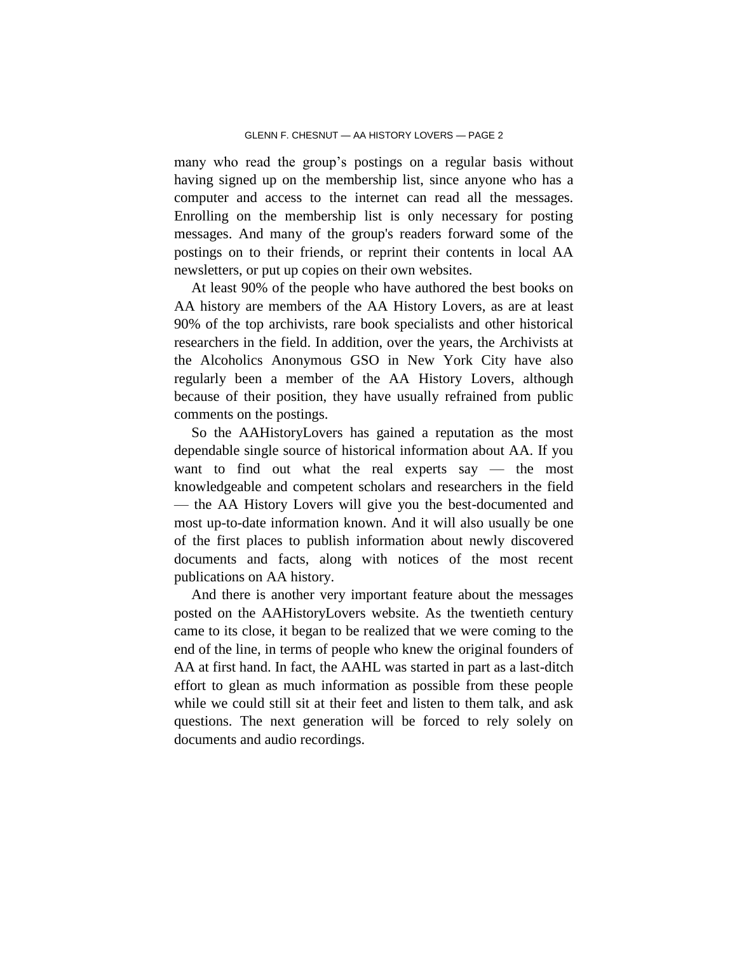many who read the group's postings on a regular basis without having signed up on the membership list, since anyone who has a computer and access to the internet can read all the messages. Enrolling on the membership list is only necessary for posting messages. And many of the group's readers forward some of the postings on to their friends, or reprint their contents in local AA newsletters, or put up copies on their own websites.

At least 90% of the people who have authored the best books on AA history are members of the AA History Lovers, as are at least 90% of the top archivists, rare book specialists and other historical researchers in the field. In addition, over the years, the Archivists at the Alcoholics Anonymous GSO in New York City have also regularly been a member of the AA History Lovers, although because of their position, they have usually refrained from public comments on the postings.

So the AAHistoryLovers has gained a reputation as the most dependable single source of historical information about AA. If you want to find out what the real experts say — the most knowledgeable and competent scholars and researchers in the field — the AA History Lovers will give you the best-documented and most up-to-date information known. And it will also usually be one of the first places to publish information about newly discovered documents and facts, along with notices of the most recent publications on AA history.

And there is another very important feature about the messages posted on the AAHistoryLovers website. As the twentieth century came to its close, it began to be realized that we were coming to the end of the line, in terms of people who knew the original founders of AA at first hand. In fact, the AAHL was started in part as a last-ditch effort to glean as much information as possible from these people while we could still sit at their feet and listen to them talk, and ask questions. The next generation will be forced to rely solely on documents and audio recordings.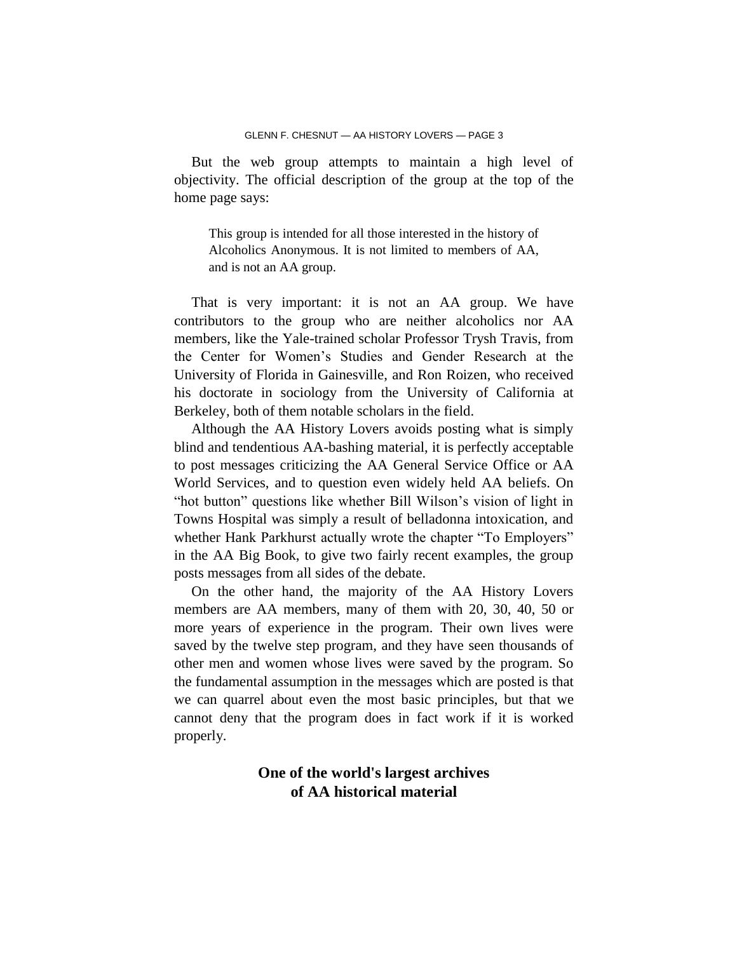But the web group attempts to maintain a high level of objectivity. The official description of the group at the top of the home page says:

This group is intended for all those interested in the history of Alcoholics Anonymous. It is not limited to members of AA, and is not an AA group.

That is very important: it is not an AA group. We have contributors to the group who are neither alcoholics nor AA members, like the Yale-trained scholar Professor Trysh Travis, from the Center for Women's Studies and Gender Research at the University of Florida in Gainesville, and Ron Roizen, who received his doctorate in sociology from the University of California at Berkeley, both of them notable scholars in the field.

Although the AA History Lovers avoids posting what is simply blind and tendentious AA-bashing material, it is perfectly acceptable to post messages criticizing the AA General Service Office or AA World Services, and to question even widely held AA beliefs. On "hot button" questions like whether Bill Wilson's vision of light in Towns Hospital was simply a result of belladonna intoxication, and whether Hank Parkhurst actually wrote the chapter "To Employers" in the AA Big Book, to give two fairly recent examples, the group posts messages from all sides of the debate.

On the other hand, the majority of the AA History Lovers members are AA members, many of them with 20, 30, 40, 50 or more years of experience in the program. Their own lives were saved by the twelve step program, and they have seen thousands of other men and women whose lives were saved by the program. So the fundamental assumption in the messages which are posted is that we can quarrel about even the most basic principles, but that we cannot deny that the program does in fact work if it is worked properly.

# **One of the world's largest archives of AA historical material**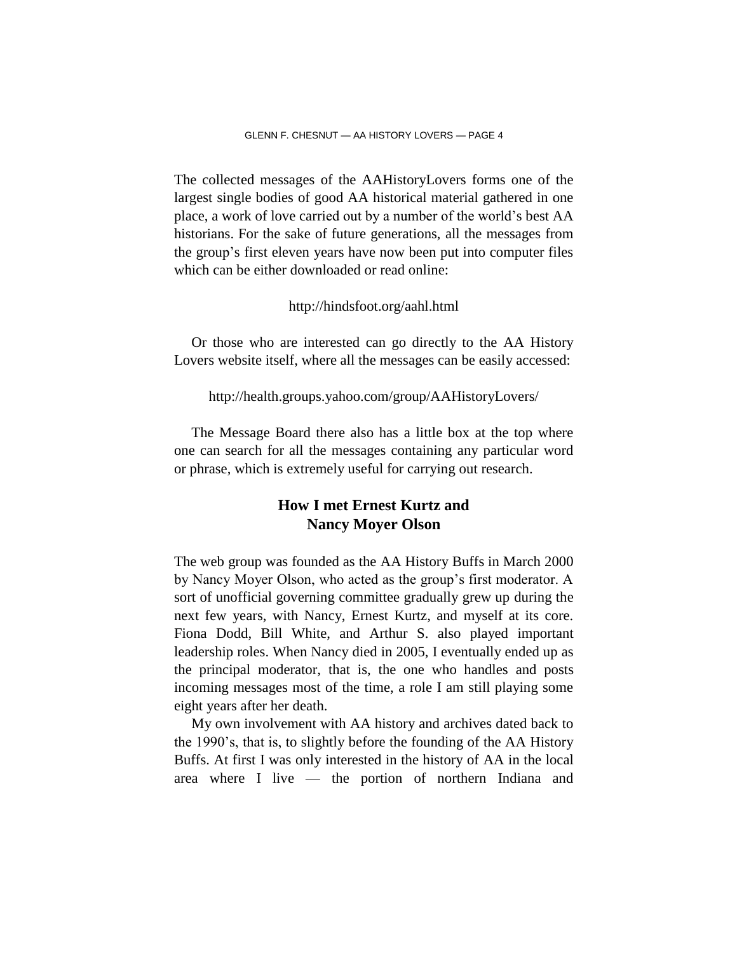The collected messages of the AAHistoryLovers forms one of the largest single bodies of good AA historical material gathered in one place, a work of love carried out by a number of the world's best AA historians. For the sake of future generations, all the messages from the group's first eleven years have now been put into computer files which can be either downloaded or read online:

### http://hindsfoot.org/aahl.html

Or those who are interested can go directly to the AA History Lovers website itself, where all the messages can be easily accessed:

http://health.groups.yahoo.com/group/AAHistoryLovers/

The Message Board there also has a little box at the top where one can search for all the messages containing any particular word or phrase, which is extremely useful for carrying out research.

## **How I met Ernest Kurtz and Nancy Moyer Olson**

The web group was founded as the AA History Buffs in March 2000 by Nancy Moyer Olson, who acted as the group's first moderator. A sort of unofficial governing committee gradually grew up during the next few years, with Nancy, Ernest Kurtz, and myself at its core. Fiona Dodd, Bill White, and Arthur S. also played important leadership roles. When Nancy died in 2005, I eventually ended up as the principal moderator, that is, the one who handles and posts incoming messages most of the time, a role I am still playing some eight years after her death.

My own involvement with AA history and archives dated back to the 1990's, that is, to slightly before the founding of the AA History Buffs. At first I was only interested in the history of AA in the local area where I live — the portion of northern Indiana and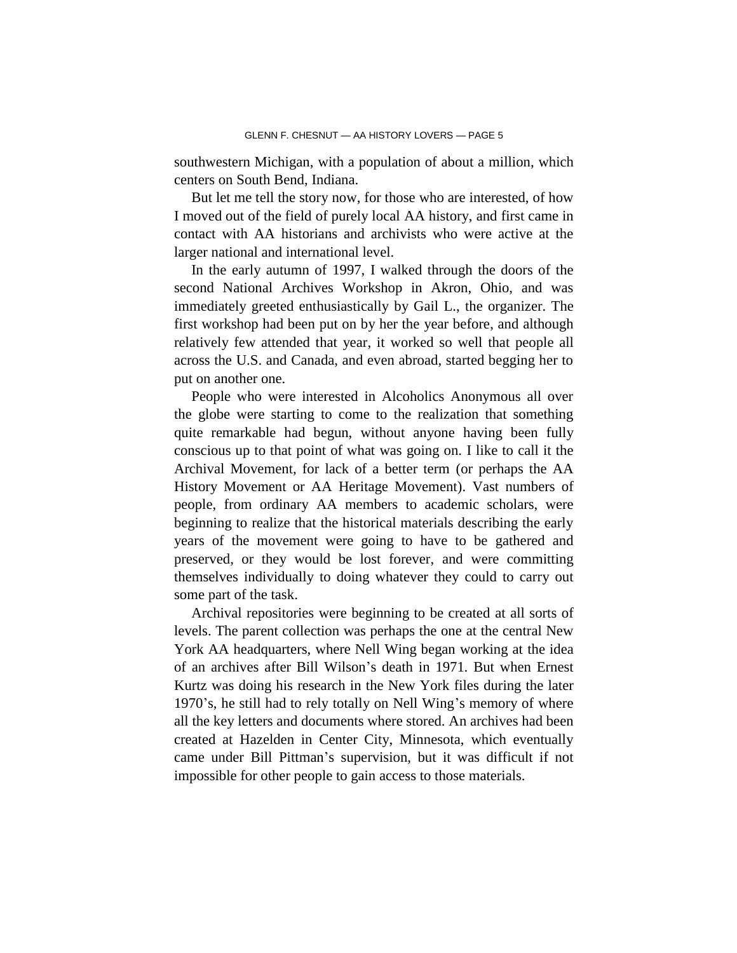southwestern Michigan, with a population of about a million, which centers on South Bend, Indiana.

But let me tell the story now, for those who are interested, of how I moved out of the field of purely local AA history, and first came in contact with AA historians and archivists who were active at the larger national and international level.

In the early autumn of 1997, I walked through the doors of the second National Archives Workshop in Akron, Ohio, and was immediately greeted enthusiastically by Gail L., the organizer. The first workshop had been put on by her the year before, and although relatively few attended that year, it worked so well that people all across the U.S. and Canada, and even abroad, started begging her to put on another one.

People who were interested in Alcoholics Anonymous all over the globe were starting to come to the realization that something quite remarkable had begun, without anyone having been fully conscious up to that point of what was going on. I like to call it the Archival Movement, for lack of a better term (or perhaps the AA History Movement or AA Heritage Movement). Vast numbers of people, from ordinary AA members to academic scholars, were beginning to realize that the historical materials describing the early years of the movement were going to have to be gathered and preserved, or they would be lost forever, and were committing themselves individually to doing whatever they could to carry out some part of the task.

Archival repositories were beginning to be created at all sorts of levels. The parent collection was perhaps the one at the central New York AA headquarters, where Nell Wing began working at the idea of an archives after Bill Wilson's death in 1971. But when Ernest Kurtz was doing his research in the New York files during the later 1970's, he still had to rely totally on Nell Wing's memory of where all the key letters and documents where stored. An archives had been created at Hazelden in Center City, Minnesota, which eventually came under Bill Pittman's supervision, but it was difficult if not impossible for other people to gain access to those materials.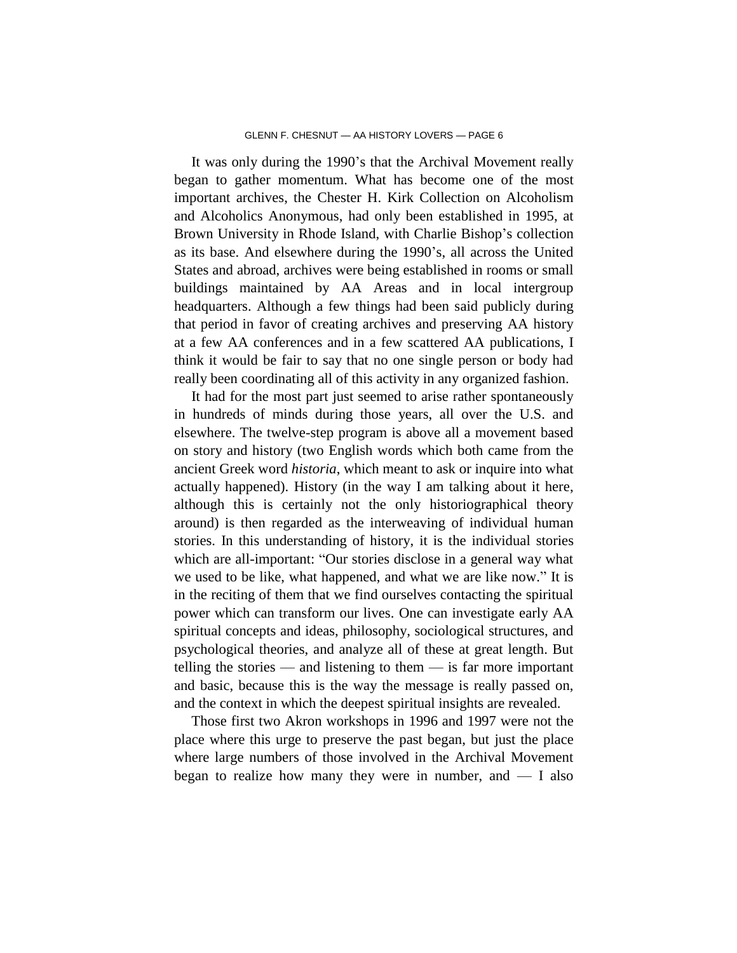It was only during the 1990's that the Archival Movement really began to gather momentum. What has become one of the most important archives, the Chester H. Kirk Collection on Alcoholism and Alcoholics Anonymous, had only been established in 1995, at Brown University in Rhode Island, with Charlie Bishop's collection as its base. And elsewhere during the 1990's, all across the United States and abroad, archives were being established in rooms or small buildings maintained by AA Areas and in local intergroup headquarters. Although a few things had been said publicly during that period in favor of creating archives and preserving AA history at a few AA conferences and in a few scattered AA publications, I think it would be fair to say that no one single person or body had really been coordinating all of this activity in any organized fashion.

It had for the most part just seemed to arise rather spontaneously in hundreds of minds during those years, all over the U.S. and elsewhere. The twelve-step program is above all a movement based on story and history (two English words which both came from the ancient Greek word *historia*, which meant to ask or inquire into what actually happened). History (in the way I am talking about it here, although this is certainly not the only historiographical theory around) is then regarded as the interweaving of individual human stories. In this understanding of history, it is the individual stories which are all-important: "Our stories disclose in a general way what we used to be like, what happened, and what we are like now." It is in the reciting of them that we find ourselves contacting the spiritual power which can transform our lives. One can investigate early AA spiritual concepts and ideas, philosophy, sociological structures, and psychological theories, and analyze all of these at great length. But telling the stories — and listening to them — is far more important and basic, because this is the way the message is really passed on, and the context in which the deepest spiritual insights are revealed.

Those first two Akron workshops in 1996 and 1997 were not the place where this urge to preserve the past began, but just the place where large numbers of those involved in the Archival Movement began to realize how many they were in number, and  $- I$  also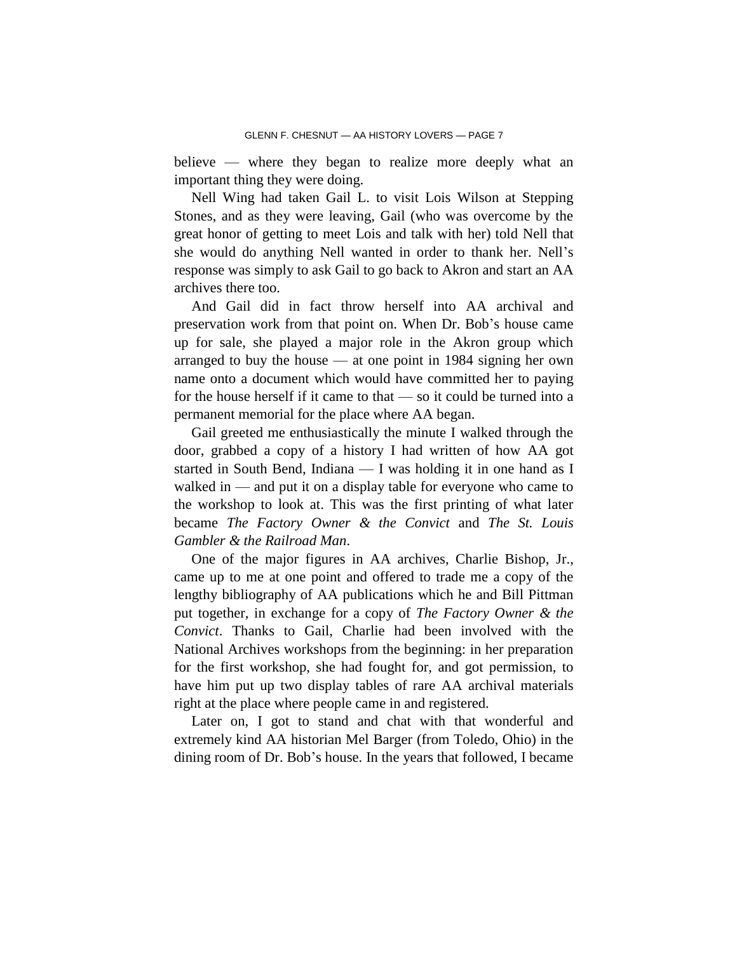believe — where they began to realize more deeply what an important thing they were doing.

Nell Wing had taken Gail L. to visit Lois Wilson at Stepping Stones, and as they were leaving, Gail (who was overcome by the great honor of getting to meet Lois and talk with her) told Nell that she would do anything Nell wanted in order to thank her. Nell's response was simply to ask Gail to go back to Akron and start an AA archives there too.

And Gail did in fact throw herself into AA archival and preservation work from that point on. When Dr. Bob's house came up for sale, she played a major role in the Akron group which arranged to buy the house — at one point in 1984 signing her own name onto a document which would have committed her to paying for the house herself if it came to that — so it could be turned into a permanent memorial for the place where AA began.

Gail greeted me enthusiastically the minute I walked through the door, grabbed a copy of a history I had written of how AA got started in South Bend, Indiana — I was holding it in one hand as I walked in — and put it on a display table for everyone who came to the workshop to look at. This was the first printing of what later became *The Factory Owner & the Convict* and *The St. Louis Gambler & the Railroad Man*.

One of the major figures in AA archives, Charlie Bishop, Jr., came up to me at one point and offered to trade me a copy of the lengthy bibliography of AA publications which he and Bill Pittman put together, in exchange for a copy of *The Factory Owner & the Convict*. Thanks to Gail, Charlie had been involved with the National Archives workshops from the beginning: in her preparation for the first workshop, she had fought for, and got permission, to have him put up two display tables of rare AA archival materials right at the place where people came in and registered.

Later on, I got to stand and chat with that wonderful and extremely kind AA historian Mel Barger (from Toledo, Ohio) in the dining room of Dr. Bob's house. In the years that followed, I became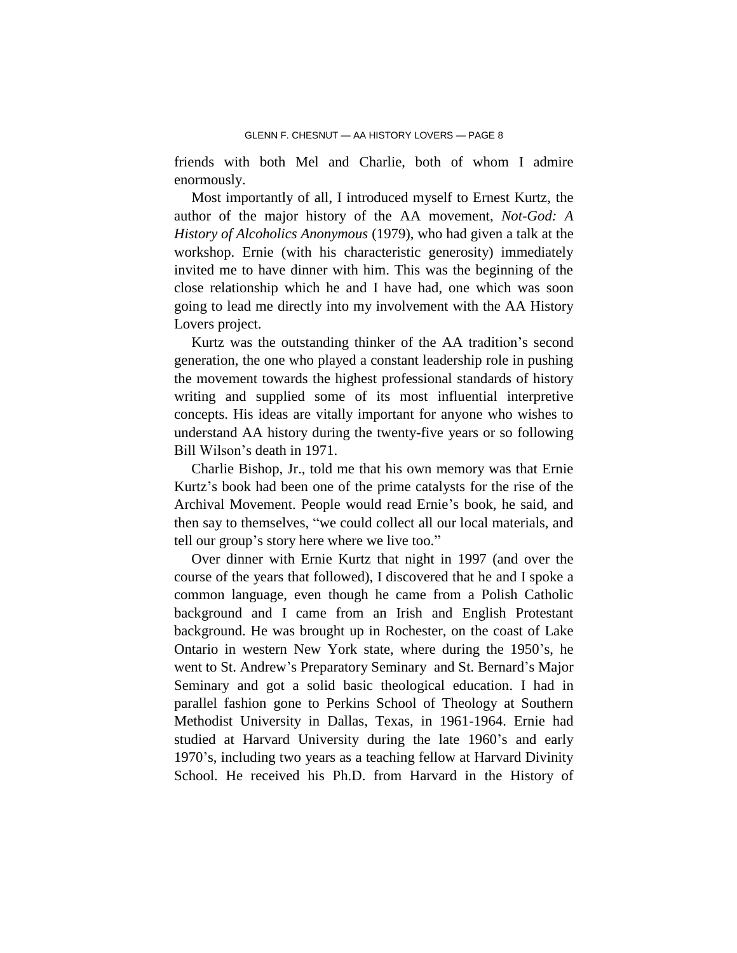friends with both Mel and Charlie, both of whom I admire enormously.

Most importantly of all, I introduced myself to Ernest Kurtz, the author of the major history of the AA movement, *Not-God: A History of Alcoholics Anonymous* (1979), who had given a talk at the workshop. Ernie (with his characteristic generosity) immediately invited me to have dinner with him. This was the beginning of the close relationship which he and I have had, one which was soon going to lead me directly into my involvement with the AA History Lovers project.

Kurtz was the outstanding thinker of the AA tradition's second generation, the one who played a constant leadership role in pushing the movement towards the highest professional standards of history writing and supplied some of its most influential interpretive concepts. His ideas are vitally important for anyone who wishes to understand AA history during the twenty-five years or so following Bill Wilson's death in 1971.

Charlie Bishop, Jr., told me that his own memory was that Ernie Kurtz's book had been one of the prime catalysts for the rise of the Archival Movement. People would read Ernie's book, he said, and then say to themselves, "we could collect all our local materials, and tell our group's story here where we live too."

Over dinner with Ernie Kurtz that night in 1997 (and over the course of the years that followed), I discovered that he and I spoke a common language, even though he came from a Polish Catholic background and I came from an Irish and English Protestant background. He was brought up in Rochester, on the coast of Lake Ontario in western New York state, where during the 1950's, he went to St. Andrew's Preparatory Seminary and St. Bernard's Major Seminary and got a solid basic theological education. I had in parallel fashion gone to Perkins School of Theology at Southern Methodist University in Dallas, Texas, in 1961-1964. Ernie had studied at Harvard University during the late 1960's and early 1970's, including two years as a teaching fellow at Harvard Divinity School. He received his Ph.D. from Harvard in the History of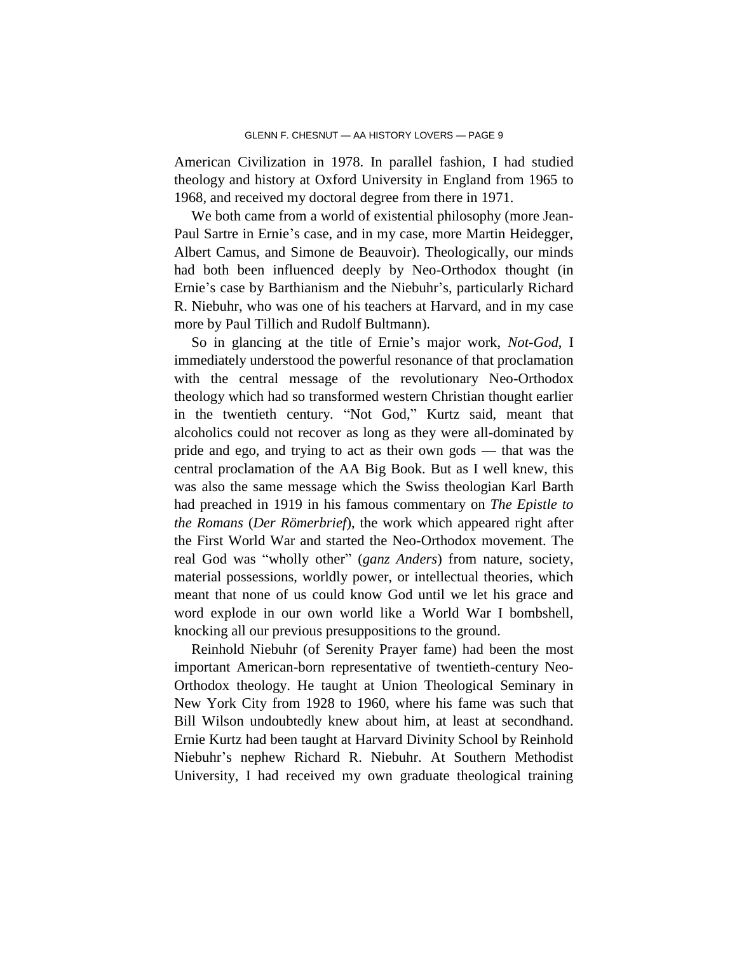American Civilization in 1978. In parallel fashion, I had studied theology and history at Oxford University in England from 1965 to 1968, and received my doctoral degree from there in 1971.

We both came from a world of existential philosophy (more Jean-Paul Sartre in Ernie's case, and in my case, more Martin Heidegger, Albert Camus, and Simone de Beauvoir). Theologically, our minds had both been influenced deeply by Neo-Orthodox thought (in Ernie's case by Barthianism and the Niebuhr's, particularly Richard R. Niebuhr, who was one of his teachers at Harvard, and in my case more by Paul Tillich and Rudolf Bultmann).

So in glancing at the title of Ernie's major work, *Not-God*, I immediately understood the powerful resonance of that proclamation with the central message of the revolutionary Neo-Orthodox theology which had so transformed western Christian thought earlier in the twentieth century. "Not God," Kurtz said, meant that alcoholics could not recover as long as they were all-dominated by pride and ego, and trying to act as their own gods — that was the central proclamation of the AA Big Book. But as I well knew, this was also the same message which the Swiss theologian Karl Barth had preached in 1919 in his famous commentary on *The Epistle to the Romans* (*Der Römerbrief*), the work which appeared right after the First World War and started the Neo-Orthodox movement. The real God was "wholly other" (*ganz Anders*) from nature, society, material possessions, worldly power, or intellectual theories, which meant that none of us could know God until we let his grace and word explode in our own world like a World War I bombshell, knocking all our previous presuppositions to the ground.

Reinhold Niebuhr (of Serenity Prayer fame) had been the most important American-born representative of twentieth-century Neo-Orthodox theology. He taught at Union Theological Seminary in New York City from 1928 to 1960, where his fame was such that Bill Wilson undoubtedly knew about him, at least at secondhand. Ernie Kurtz had been taught at Harvard Divinity School by Reinhold Niebuhr's nephew Richard R. Niebuhr. At Southern Methodist University, I had received my own graduate theological training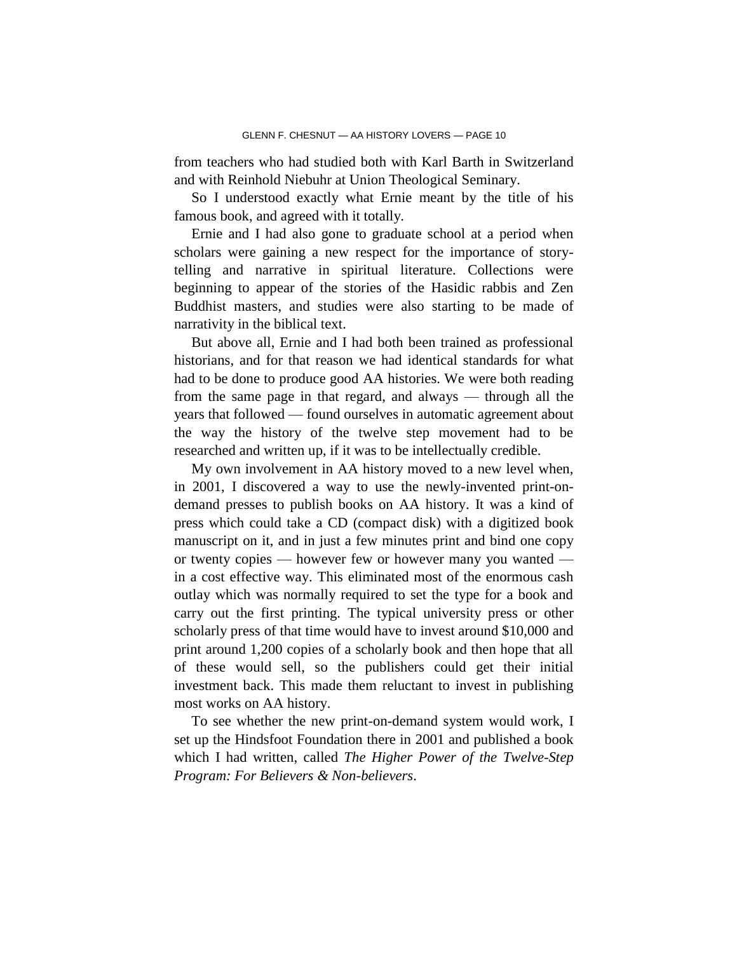from teachers who had studied both with Karl Barth in Switzerland and with Reinhold Niebuhr at Union Theological Seminary.

So I understood exactly what Ernie meant by the title of his famous book, and agreed with it totally.

Ernie and I had also gone to graduate school at a period when scholars were gaining a new respect for the importance of storytelling and narrative in spiritual literature. Collections were beginning to appear of the stories of the Hasidic rabbis and Zen Buddhist masters, and studies were also starting to be made of narrativity in the biblical text.

But above all, Ernie and I had both been trained as professional historians, and for that reason we had identical standards for what had to be done to produce good AA histories. We were both reading from the same page in that regard, and always — through all the years that followed — found ourselves in automatic agreement about the way the history of the twelve step movement had to be researched and written up, if it was to be intellectually credible.

My own involvement in AA history moved to a new level when, in 2001, I discovered a way to use the newly-invented print-ondemand presses to publish books on AA history. It was a kind of press which could take a CD (compact disk) with a digitized book manuscript on it, and in just a few minutes print and bind one copy or twenty copies — however few or however many you wanted in a cost effective way. This eliminated most of the enormous cash outlay which was normally required to set the type for a book and carry out the first printing. The typical university press or other scholarly press of that time would have to invest around \$10,000 and print around 1,200 copies of a scholarly book and then hope that all of these would sell, so the publishers could get their initial investment back. This made them reluctant to invest in publishing most works on AA history.

To see whether the new print-on-demand system would work, I set up the Hindsfoot Foundation there in 2001 and published a book which I had written, called *The Higher Power of the Twelve-Step Program: For Believers & Non-believers*.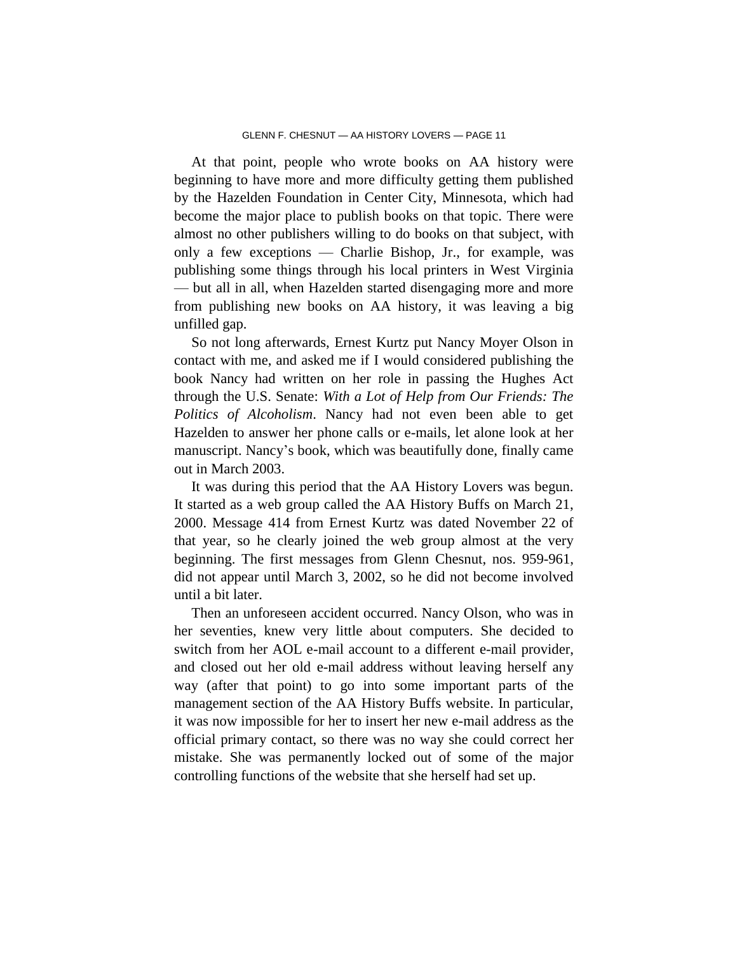At that point, people who wrote books on AA history were beginning to have more and more difficulty getting them published by the Hazelden Foundation in Center City, Minnesota, which had become the major place to publish books on that topic. There were almost no other publishers willing to do books on that subject, with only a few exceptions — Charlie Bishop, Jr., for example, was publishing some things through his local printers in West Virginia — but all in all, when Hazelden started disengaging more and more from publishing new books on AA history, it was leaving a big unfilled gap.

So not long afterwards, Ernest Kurtz put Nancy Moyer Olson in contact with me, and asked me if I would considered publishing the book Nancy had written on her role in passing the Hughes Act through the U.S. Senate: *With a Lot of Help from Our Friends: The Politics of Alcoholism*. Nancy had not even been able to get Hazelden to answer her phone calls or e-mails, let alone look at her manuscript. Nancy's book, which was beautifully done, finally came out in March 2003.

It was during this period that the AA History Lovers was begun. It started as a web group called the AA History Buffs on March 21, 2000. Message 414 from Ernest Kurtz was dated November 22 of that year, so he clearly joined the web group almost at the very beginning. The first messages from Glenn Chesnut, nos. 959-961, did not appear until March 3, 2002, so he did not become involved until a bit later.

Then an unforeseen accident occurred. Nancy Olson, who was in her seventies, knew very little about computers. She decided to switch from her AOL e-mail account to a different e-mail provider, and closed out her old e-mail address without leaving herself any way (after that point) to go into some important parts of the management section of the AA History Buffs website. In particular, it was now impossible for her to insert her new e-mail address as the official primary contact, so there was no way she could correct her mistake. She was permanently locked out of some of the major controlling functions of the website that she herself had set up.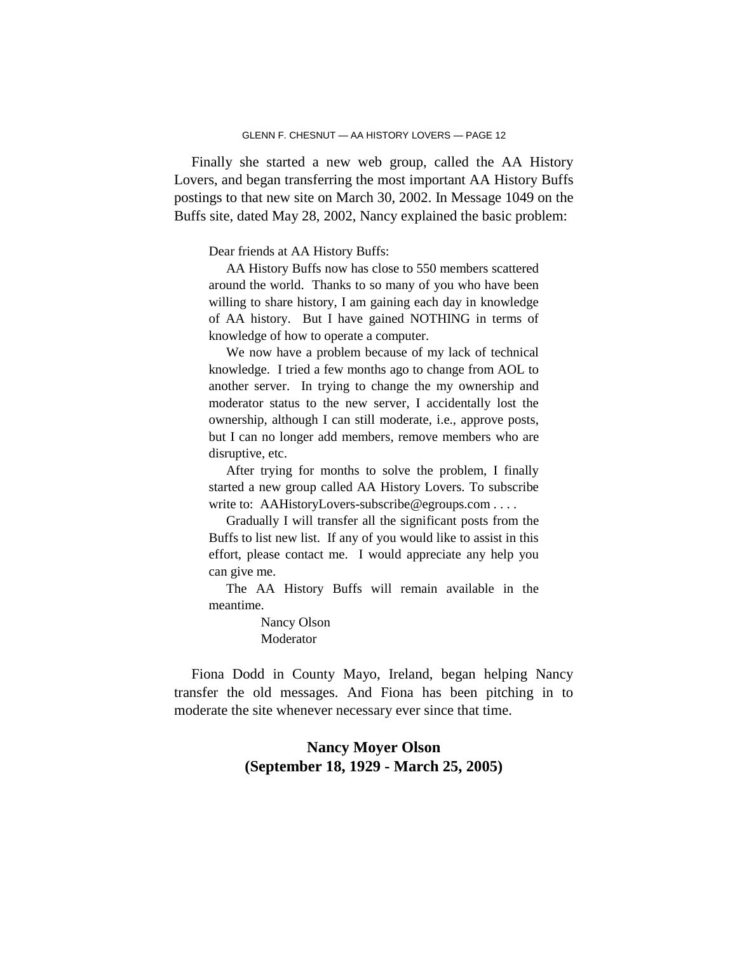Finally she started a new web group, called the AA History Lovers, and began transferring the most important AA History Buffs postings to that new site on March 30, 2002. In Message 1049 on the Buffs site, dated May 28, 2002, Nancy explained the basic problem:

Dear friends at AA History Buffs:

AA History Buffs now has close to 550 members scattered around the world. Thanks to so many of you who have been willing to share history, I am gaining each day in knowledge of AA history. But I have gained NOTHING in terms of knowledge of how to operate a computer.

We now have a problem because of my lack of technical knowledge. I tried a few months ago to change from AOL to another server. In trying to change the my ownership and moderator status to the new server, I accidentally lost the ownership, although I can still moderate, i.e., approve posts, but I can no longer add members, remove members who are disruptive, etc.

After trying for months to solve the problem, I finally started a new group called AA History Lovers. To subscribe write to: AAHistoryLovers-subscribe@egroups.com . . . .

Gradually I will transfer all the significant posts from the Buffs to list new list. If any of you would like to assist in this effort, please contact me. I would appreciate any help you can give me.

The AA History Buffs will remain available in the meantime.

> Nancy Olson Moderator

Fiona Dodd in County Mayo, Ireland, began helping Nancy transfer the old messages. And Fiona has been pitching in to moderate the site whenever necessary ever since that time.

# **Nancy Moyer Olson (September 18, 1929 - March 25, 2005)**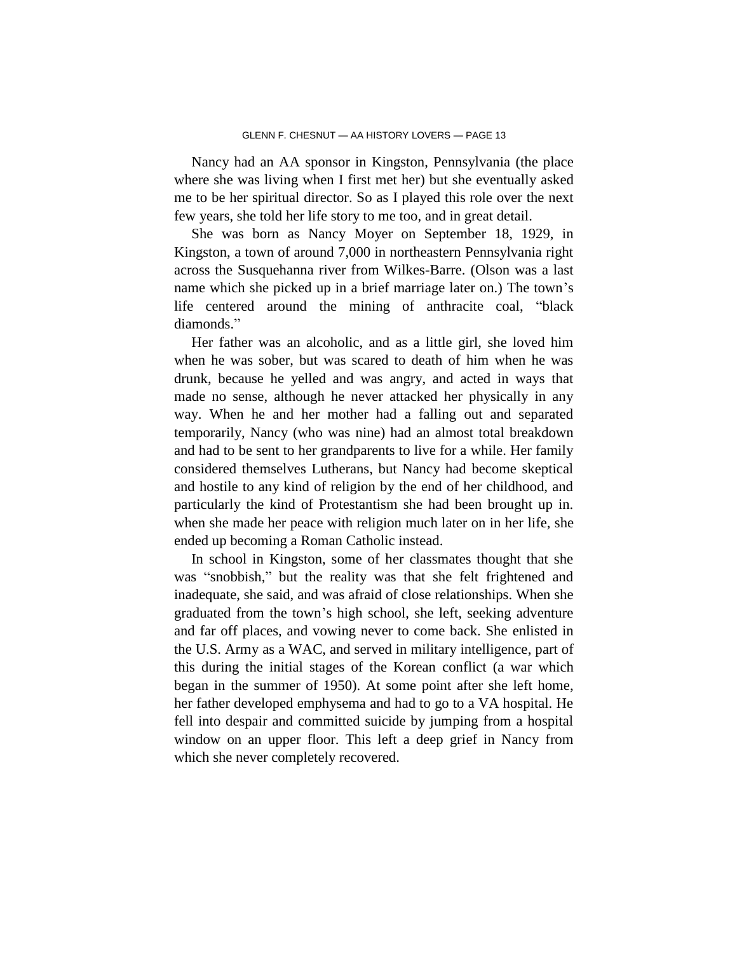Nancy had an AA sponsor in Kingston, Pennsylvania (the place where she was living when I first met her) but she eventually asked me to be her spiritual director. So as I played this role over the next few years, she told her life story to me too, and in great detail.

She was born as Nancy Moyer on September 18, 1929, in Kingston, a town of around 7,000 in northeastern Pennsylvania right across the Susquehanna river from Wilkes-Barre. (Olson was a last name which she picked up in a brief marriage later on.) The town's life centered around the mining of anthracite coal, "black diamonds."

Her father was an alcoholic, and as a little girl, she loved him when he was sober, but was scared to death of him when he was drunk, because he yelled and was angry, and acted in ways that made no sense, although he never attacked her physically in any way. When he and her mother had a falling out and separated temporarily, Nancy (who was nine) had an almost total breakdown and had to be sent to her grandparents to live for a while. Her family considered themselves Lutherans, but Nancy had become skeptical and hostile to any kind of religion by the end of her childhood, and particularly the kind of Protestantism she had been brought up in. when she made her peace with religion much later on in her life, she ended up becoming a Roman Catholic instead.

In school in Kingston, some of her classmates thought that she was "snobbish," but the reality was that she felt frightened and inadequate, she said, and was afraid of close relationships. When she graduated from the town's high school, she left, seeking adventure and far off places, and vowing never to come back. She enlisted in the U.S. Army as a WAC, and served in military intelligence, part of this during the initial stages of the Korean conflict (a war which began in the summer of 1950). At some point after she left home, her father developed emphysema and had to go to a VA hospital. He fell into despair and committed suicide by jumping from a hospital window on an upper floor. This left a deep grief in Nancy from which she never completely recovered.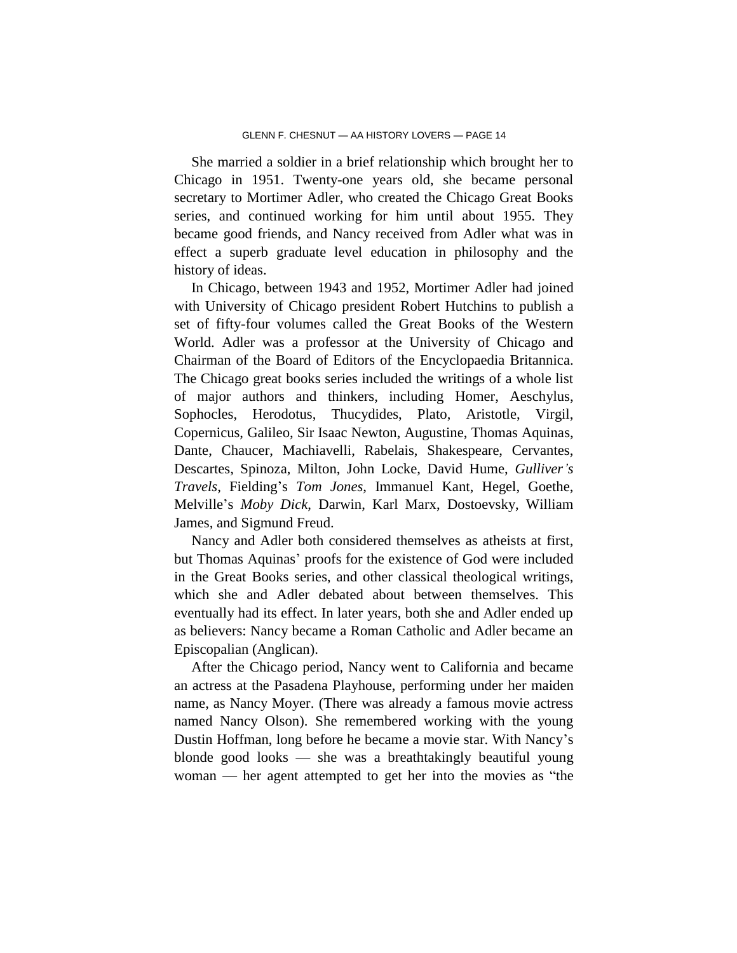She married a soldier in a brief relationship which brought her to Chicago in 1951. Twenty-one years old, she became personal secretary to Mortimer Adler, who created the Chicago Great Books series, and continued working for him until about 1955. They became good friends, and Nancy received from Adler what was in effect a superb graduate level education in philosophy and the history of ideas.

In Chicago, between 1943 and 1952, Mortimer Adler had joined with University of Chicago president Robert Hutchins to publish a set of fifty-four volumes called the Great Books of the Western World. Adler was a professor at the University of Chicago and Chairman of the Board of Editors of the Encyclopaedia Britannica. The Chicago great books series included the writings of a whole list of major authors and thinkers, including Homer, Aeschylus, Sophocles, Herodotus, Thucydides, Plato, Aristotle, Virgil, Copernicus, Galileo, Sir Isaac Newton, Augustine, Thomas Aquinas, Dante, Chaucer, Machiavelli, Rabelais, Shakespeare, Cervantes, Descartes, Spinoza, Milton, John Locke, David Hume, *Gulliver's Travels*, Fielding's *Tom Jones*, Immanuel Kant, Hegel, Goethe, Melville's *Moby Dick*, Darwin, Karl Marx, Dostoevsky, William James, and Sigmund Freud.

Nancy and Adler both considered themselves as atheists at first, but Thomas Aquinas' proofs for the existence of God were included in the Great Books series, and other classical theological writings, which she and Adler debated about between themselves. This eventually had its effect. In later years, both she and Adler ended up as believers: Nancy became a Roman Catholic and Adler became an Episcopalian (Anglican).

After the Chicago period, Nancy went to California and became an actress at the Pasadena Playhouse, performing under her maiden name, as Nancy Moyer. (There was already a famous movie actress named Nancy Olson). She remembered working with the young Dustin Hoffman, long before he became a movie star. With Nancy's blonde good looks — she was a breathtakingly beautiful young woman — her agent attempted to get her into the movies as "the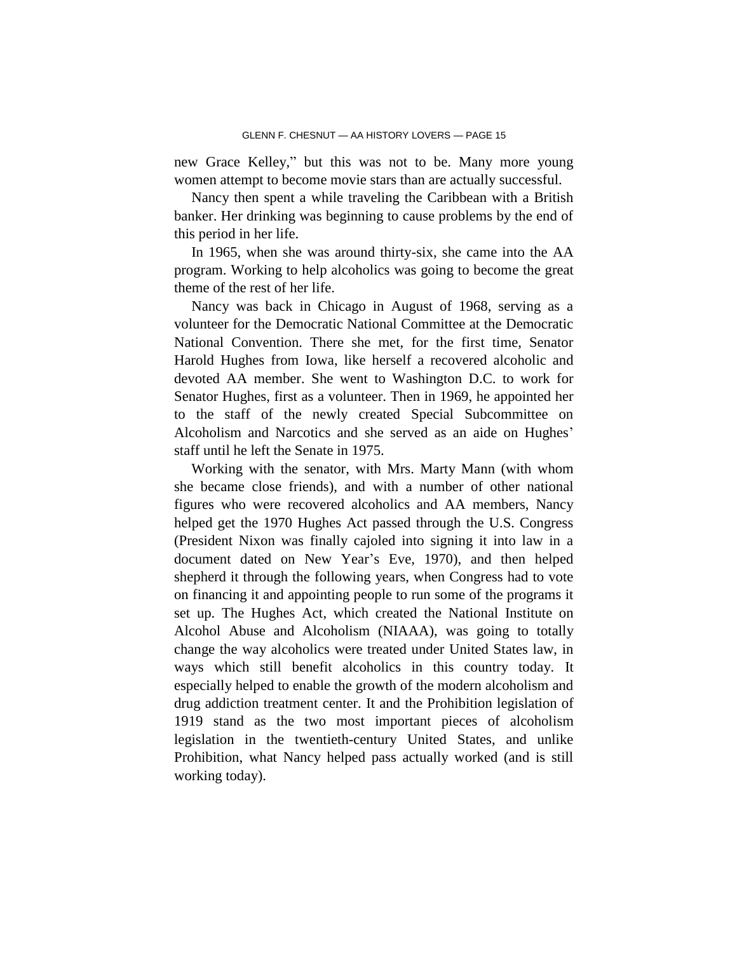new Grace Kelley," but this was not to be. Many more young women attempt to become movie stars than are actually successful.

Nancy then spent a while traveling the Caribbean with a British banker. Her drinking was beginning to cause problems by the end of this period in her life.

In 1965, when she was around thirty-six, she came into the AA program. Working to help alcoholics was going to become the great theme of the rest of her life.

Nancy was back in Chicago in August of 1968, serving as a volunteer for the Democratic National Committee at the Democratic National Convention. There she met, for the first time, Senator Harold Hughes from Iowa, like herself a recovered alcoholic and devoted AA member. She went to Washington D.C. to work for Senator Hughes, first as a volunteer. Then in 1969, he appointed her to the staff of the newly created Special Subcommittee on Alcoholism and Narcotics and she served as an aide on Hughes' staff until he left the Senate in 1975.

Working with the senator, with Mrs. Marty Mann (with whom she became close friends), and with a number of other national figures who were recovered alcoholics and AA members, Nancy helped get the 1970 Hughes Act passed through the U.S. Congress (President Nixon was finally cajoled into signing it into law in a document dated on New Year's Eve, 1970), and then helped shepherd it through the following years, when Congress had to vote on financing it and appointing people to run some of the programs it set up. The Hughes Act, which created the National Institute on Alcohol Abuse and Alcoholism (NIAAA), was going to totally change the way alcoholics were treated under United States law, in ways which still benefit alcoholics in this country today. It especially helped to enable the growth of the modern alcoholism and drug addiction treatment center. It and the Prohibition legislation of 1919 stand as the two most important pieces of alcoholism legislation in the twentieth-century United States, and unlike Prohibition, what Nancy helped pass actually worked (and is still working today).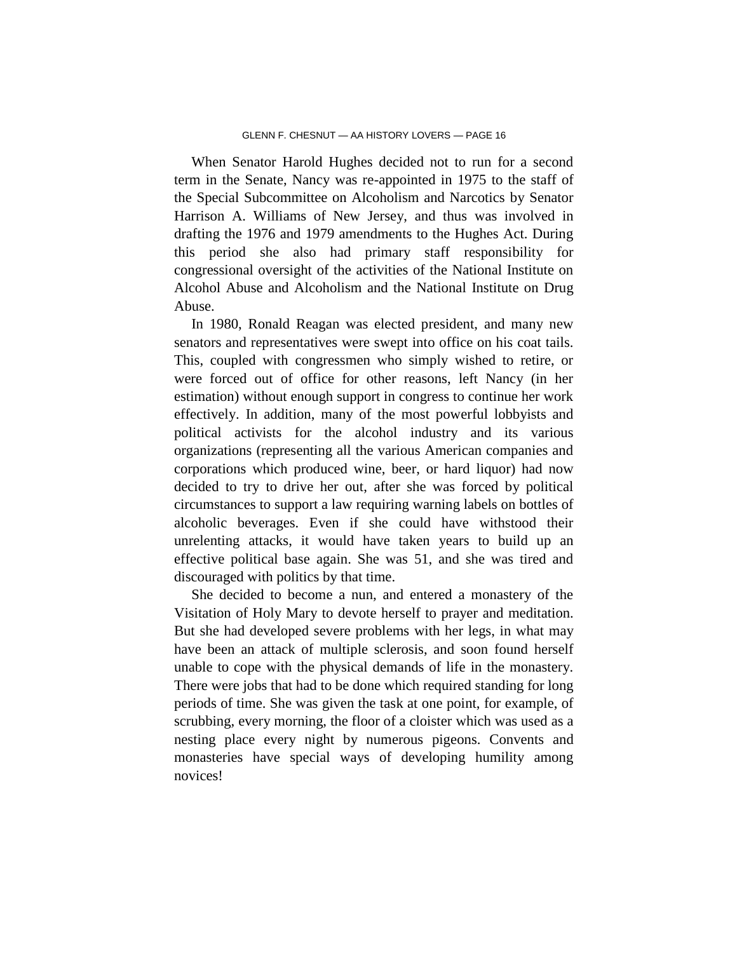When Senator Harold Hughes decided not to run for a second term in the Senate, Nancy was re-appointed in 1975 to the staff of the Special Subcommittee on Alcoholism and Narcotics by Senator Harrison A. Williams of New Jersey, and thus was involved in drafting the 1976 and 1979 amendments to the Hughes Act. During this period she also had primary staff responsibility for congressional oversight of the activities of the National Institute on Alcohol Abuse and Alcoholism and the National Institute on Drug Abuse.

In 1980, Ronald Reagan was elected president, and many new senators and representatives were swept into office on his coat tails. This, coupled with congressmen who simply wished to retire, or were forced out of office for other reasons, left Nancy (in her estimation) without enough support in congress to continue her work effectively. In addition, many of the most powerful lobbyists and political activists for the alcohol industry and its various organizations (representing all the various American companies and corporations which produced wine, beer, or hard liquor) had now decided to try to drive her out, after she was forced by political circumstances to support a law requiring warning labels on bottles of alcoholic beverages. Even if she could have withstood their unrelenting attacks, it would have taken years to build up an effective political base again. She was 51, and she was tired and discouraged with politics by that time.

She decided to become a nun, and entered a monastery of the Visitation of Holy Mary to devote herself to prayer and meditation. But she had developed severe problems with her legs, in what may have been an attack of multiple sclerosis, and soon found herself unable to cope with the physical demands of life in the monastery. There were jobs that had to be done which required standing for long periods of time. She was given the task at one point, for example, of scrubbing, every morning, the floor of a cloister which was used as a nesting place every night by numerous pigeons. Convents and monasteries have special ways of developing humility among novices!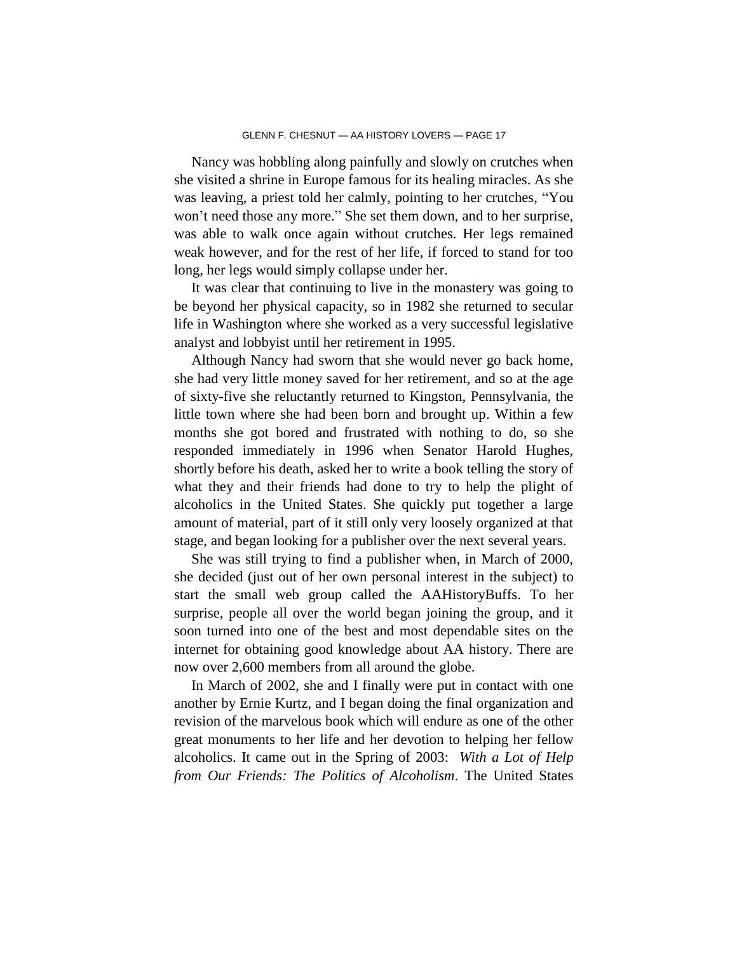Nancy was hobbling along painfully and slowly on crutches when she visited a shrine in Europe famous for its healing miracles. As she was leaving, a priest told her calmly, pointing to her crutches, "You won't need those any more." She set them down, and to her surprise, was able to walk once again without crutches. Her legs remained weak however, and for the rest of her life, if forced to stand for too long, her legs would simply collapse under her.

It was clear that continuing to live in the monastery was going to be beyond her physical capacity, so in 1982 she returned to secular life in Washington where she worked as a very successful legislative analyst and lobbyist until her retirement in 1995.

Although Nancy had sworn that she would never go back home, she had very little money saved for her retirement, and so at the age of sixty-five she reluctantly returned to Kingston, Pennsylvania, the little town where she had been born and brought up. Within a few months she got bored and frustrated with nothing to do, so she responded immediately in 1996 when Senator Harold Hughes, shortly before his death, asked her to write a book telling the story of what they and their friends had done to try to help the plight of alcoholics in the United States. She quickly put together a large amount of material, part of it still only very loosely organized at that stage, and began looking for a publisher over the next several years.

She was still trying to find a publisher when, in March of 2000, she decided (just out of her own personal interest in the subject) to start the small web group called the AAHistoryBuffs. To her surprise, people all over the world began joining the group, and it soon turned into one of the best and most dependable sites on the internet for obtaining good knowledge about AA history. There are now over 2,600 members from all around the globe.

In March of 2002, she and I finally were put in contact with one another by Ernie Kurtz, and I began doing the final organization and revision of the marvelous book which will endure as one of the other great monuments to her life and her devotion to helping her fellow alcoholics. It came out in the Spring of 2003: *With a Lot of Help from Our Friends: The Politics of Alcoholism*. The United States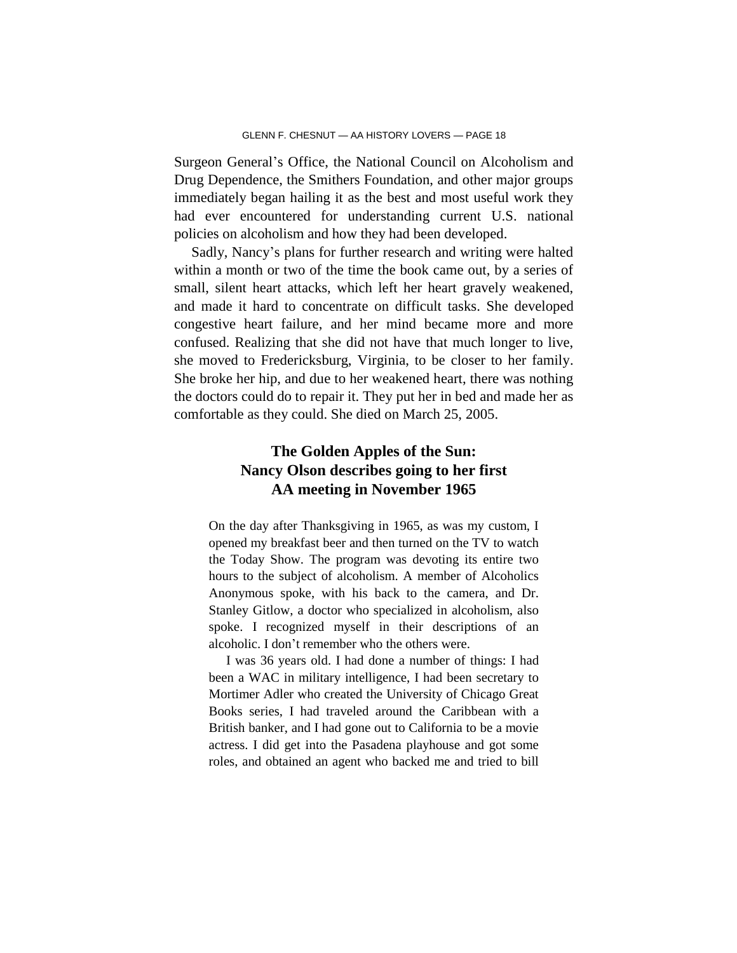Surgeon General's Office, the National Council on Alcoholism and Drug Dependence, the Smithers Foundation, and other major groups immediately began hailing it as the best and most useful work they had ever encountered for understanding current U.S. national policies on alcoholism and how they had been developed.

Sadly, Nancy's plans for further research and writing were halted within a month or two of the time the book came out, by a series of small, silent heart attacks, which left her heart gravely weakened, and made it hard to concentrate on difficult tasks. She developed congestive heart failure, and her mind became more and more confused. Realizing that she did not have that much longer to live, she moved to Fredericksburg, Virginia, to be closer to her family. She broke her hip, and due to her weakened heart, there was nothing the doctors could do to repair it. They put her in bed and made her as comfortable as they could. She died on March 25, 2005.

# **The Golden Apples of the Sun: Nancy Olson describes going to her first AA meeting in November 1965**

On the day after Thanksgiving in 1965, as was my custom, I opened my breakfast beer and then turned on the TV to watch the Today Show. The program was devoting its entire two hours to the subject of alcoholism. A member of Alcoholics Anonymous spoke, with his back to the camera, and Dr. Stanley Gitlow, a doctor who specialized in alcoholism, also spoke. I recognized myself in their descriptions of an alcoholic. I don't remember who the others were.

I was 36 years old. I had done a number of things: I had been a WAC in military intelligence, I had been secretary to Mortimer Adler who created the University of Chicago Great Books series, I had traveled around the Caribbean with a British banker, and I had gone out to California to be a movie actress. I did get into the Pasadena playhouse and got some roles, and obtained an agent who backed me and tried to bill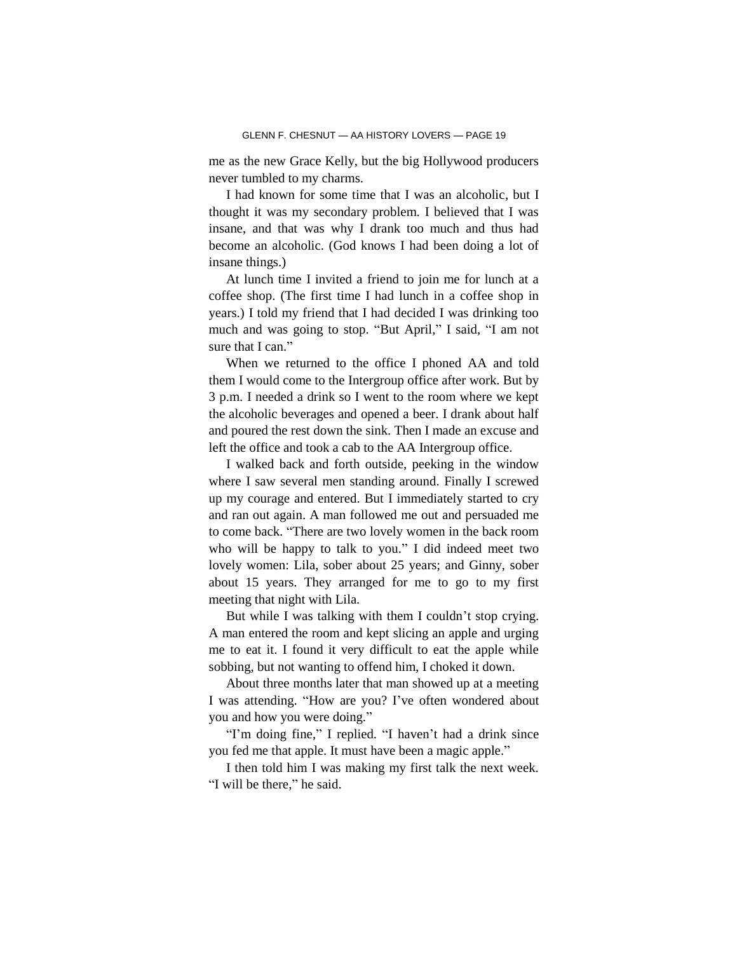me as the new Grace Kelly, but the big Hollywood producers never tumbled to my charms.

I had known for some time that I was an alcoholic, but I thought it was my secondary problem. I believed that I was insane, and that was why I drank too much and thus had become an alcoholic. (God knows I had been doing a lot of insane things.)

At lunch time I invited a friend to join me for lunch at a coffee shop. (The first time I had lunch in a coffee shop in years.) I told my friend that I had decided I was drinking too much and was going to stop. "But April," I said, "I am not sure that I can."

When we returned to the office I phoned AA and told them I would come to the Intergroup office after work. But by 3 p.m. I needed a drink so I went to the room where we kept the alcoholic beverages and opened a beer. I drank about half and poured the rest down the sink. Then I made an excuse and left the office and took a cab to the AA Intergroup office.

I walked back and forth outside, peeking in the window where I saw several men standing around. Finally I screwed up my courage and entered. But I immediately started to cry and ran out again. A man followed me out and persuaded me to come back. "There are two lovely women in the back room who will be happy to talk to you." I did indeed meet two lovely women: Lila, sober about 25 years; and Ginny, sober about 15 years. They arranged for me to go to my first meeting that night with Lila.

But while I was talking with them I couldn't stop crying. A man entered the room and kept slicing an apple and urging me to eat it. I found it very difficult to eat the apple while sobbing, but not wanting to offend him, I choked it down.

About three months later that man showed up at a meeting I was attending. "How are you? I've often wondered about you and how you were doing."

"I'm doing fine," I replied. "I haven't had a drink since you fed me that apple. It must have been a magic apple."

I then told him I was making my first talk the next week. "I will be there," he said.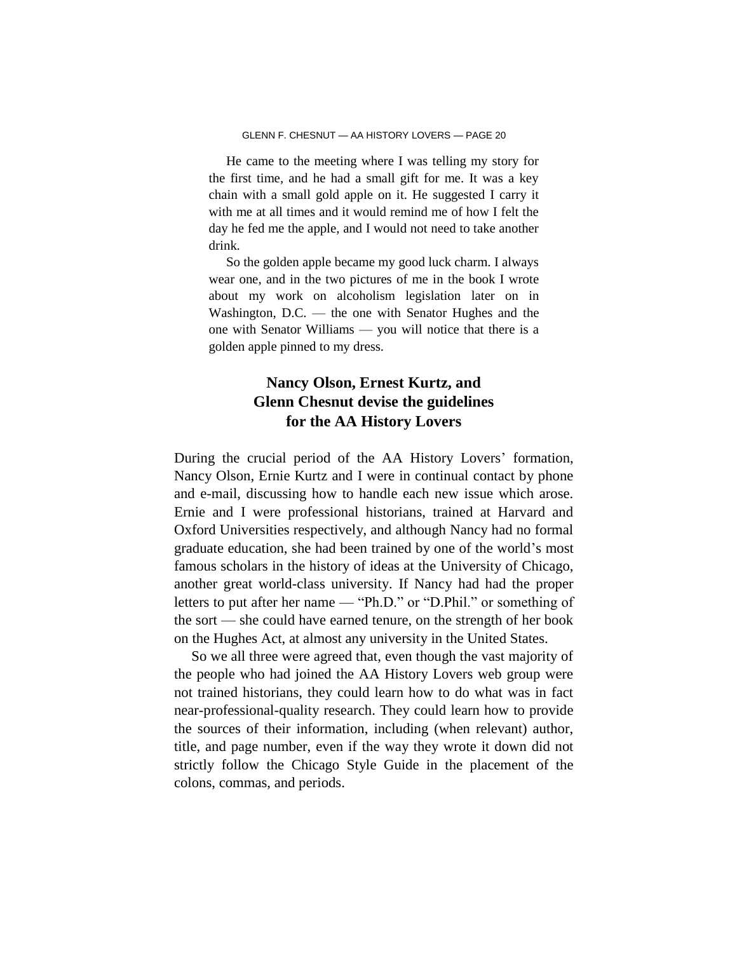He came to the meeting where I was telling my story for the first time, and he had a small gift for me. It was a key chain with a small gold apple on it. He suggested I carry it with me at all times and it would remind me of how I felt the day he fed me the apple, and I would not need to take another drink.

So the golden apple became my good luck charm. I always wear one, and in the two pictures of me in the book I wrote about my work on alcoholism legislation later on in Washington, D.C. — the one with Senator Hughes and the one with Senator Williams — you will notice that there is a golden apple pinned to my dress.

# **Nancy Olson, Ernest Kurtz, and Glenn Chesnut devise the guidelines for the AA History Lovers**

During the crucial period of the AA History Lovers' formation, Nancy Olson, Ernie Kurtz and I were in continual contact by phone and e-mail, discussing how to handle each new issue which arose. Ernie and I were professional historians, trained at Harvard and Oxford Universities respectively, and although Nancy had no formal graduate education, she had been trained by one of the world's most famous scholars in the history of ideas at the University of Chicago, another great world-class university. If Nancy had had the proper letters to put after her name — "Ph.D." or "D.Phil." or something of the sort — she could have earned tenure, on the strength of her book on the Hughes Act, at almost any university in the United States.

So we all three were agreed that, even though the vast majority of the people who had joined the AA History Lovers web group were not trained historians, they could learn how to do what was in fact near-professional-quality research. They could learn how to provide the sources of their information, including (when relevant) author, title, and page number, even if the way they wrote it down did not strictly follow the Chicago Style Guide in the placement of the colons, commas, and periods.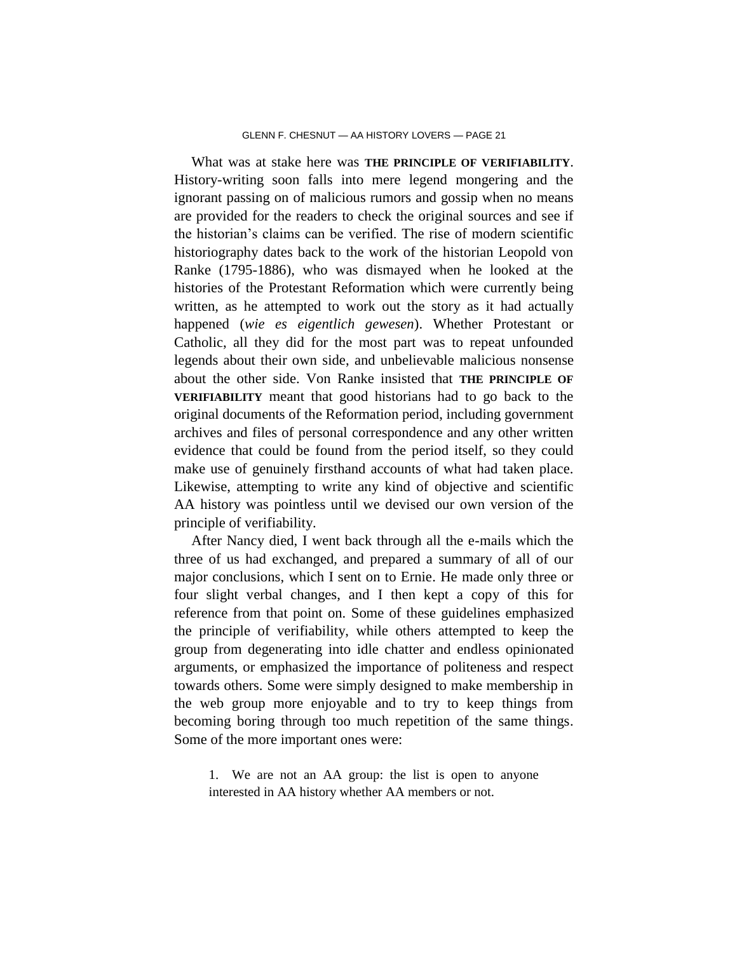What was at stake here was **THE PRINCIPLE OF VERIFIABILITY**. History-writing soon falls into mere legend mongering and the ignorant passing on of malicious rumors and gossip when no means are provided for the readers to check the original sources and see if the historian's claims can be verified. The rise of modern scientific historiography dates back to the work of the historian Leopold von Ranke (1795-1886), who was dismayed when he looked at the histories of the Protestant Reformation which were currently being written, as he attempted to work out the story as it had actually happened (*wie es eigentlich gewesen*). Whether Protestant or Catholic, all they did for the most part was to repeat unfounded legends about their own side, and unbelievable malicious nonsense about the other side. Von Ranke insisted that **THE PRINCIPLE OF VERIFIABILITY** meant that good historians had to go back to the original documents of the Reformation period, including government archives and files of personal correspondence and any other written evidence that could be found from the period itself, so they could make use of genuinely firsthand accounts of what had taken place. Likewise, attempting to write any kind of objective and scientific AA history was pointless until we devised our own version of the principle of verifiability.

After Nancy died, I went back through all the e-mails which the three of us had exchanged, and prepared a summary of all of our major conclusions, which I sent on to Ernie. He made only three or four slight verbal changes, and I then kept a copy of this for reference from that point on. Some of these guidelines emphasized the principle of verifiability, while others attempted to keep the group from degenerating into idle chatter and endless opinionated arguments, or emphasized the importance of politeness and respect towards others. Some were simply designed to make membership in the web group more enjoyable and to try to keep things from becoming boring through too much repetition of the same things. Some of the more important ones were:

1. We are not an AA group: the list is open to anyone interested in AA history whether AA members or not.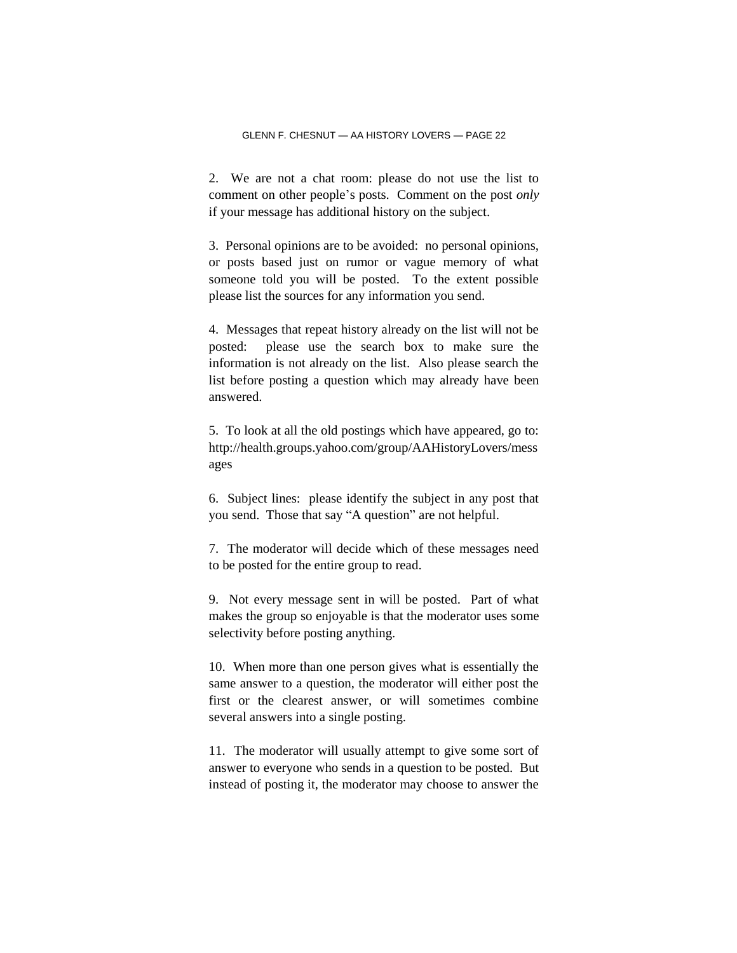2. We are not a chat room: please do not use the list to comment on other people's posts. Comment on the post *only* if your message has additional history on the subject.

3. Personal opinions are to be avoided: no personal opinions, or posts based just on rumor or vague memory of what someone told you will be posted. To the extent possible please list the sources for any information you send.

4. Messages that repeat history already on the list will not be posted: please use the search box to make sure the information is not already on the list. Also please search the list before posting a question which may already have been answered.

5. To look at all the old postings which have appeared, go to: http://health.groups.yahoo.com/group/AAHistoryLovers/mess ages

6. Subject lines: please identify the subject in any post that you send. Those that say "A question" are not helpful.

7. The moderator will decide which of these messages need to be posted for the entire group to read.

9. Not every message sent in will be posted. Part of what makes the group so enjoyable is that the moderator uses some selectivity before posting anything.

10. When more than one person gives what is essentially the same answer to a question, the moderator will either post the first or the clearest answer, or will sometimes combine several answers into a single posting.

11. The moderator will usually attempt to give some sort of answer to everyone who sends in a question to be posted. But instead of posting it, the moderator may choose to answer the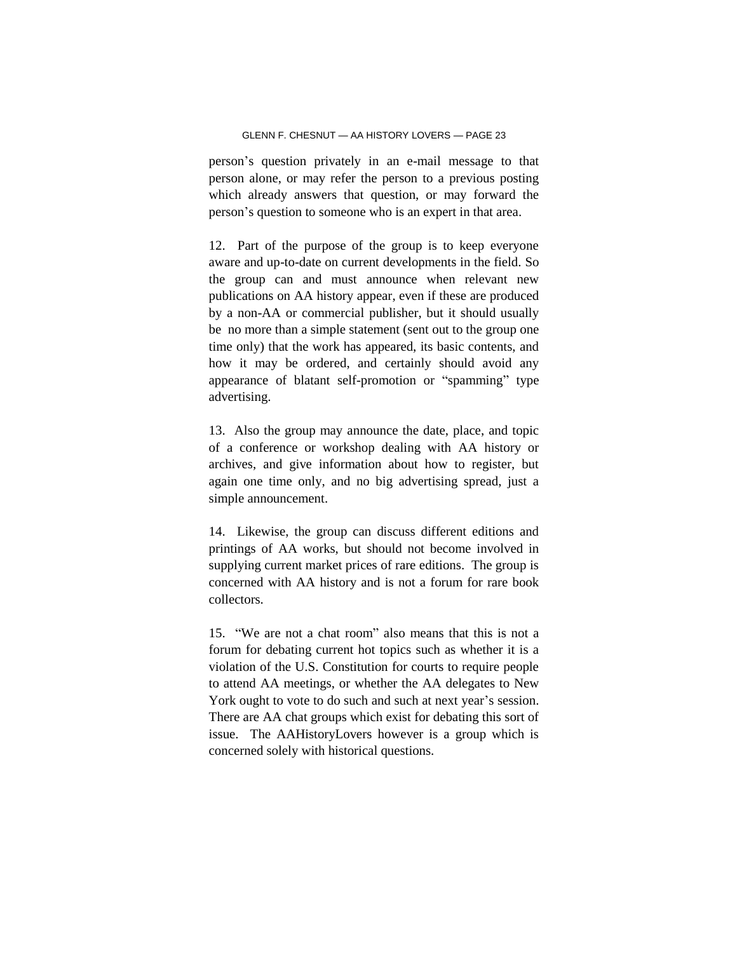person's question privately in an e-mail message to that person alone, or may refer the person to a previous posting which already answers that question, or may forward the person's question to someone who is an expert in that area.

12. Part of the purpose of the group is to keep everyone aware and up-to-date on current developments in the field. So the group can and must announce when relevant new publications on AA history appear, even if these are produced by a non-AA or commercial publisher, but it should usually be no more than a simple statement (sent out to the group one time only) that the work has appeared, its basic contents, and how it may be ordered, and certainly should avoid any appearance of blatant self-promotion or "spamming" type advertising.

13. Also the group may announce the date, place, and topic of a conference or workshop dealing with AA history or archives, and give information about how to register, but again one time only, and no big advertising spread, just a simple announcement.

14. Likewise, the group can discuss different editions and printings of AA works, but should not become involved in supplying current market prices of rare editions. The group is concerned with AA history and is not a forum for rare book collectors.

15. "We are not a chat room" also means that this is not a forum for debating current hot topics such as whether it is a violation of the U.S. Constitution for courts to require people to attend AA meetings, or whether the AA delegates to New York ought to vote to do such and such at next year's session. There are AA chat groups which exist for debating this sort of issue. The AAHistoryLovers however is a group which is concerned solely with historical questions.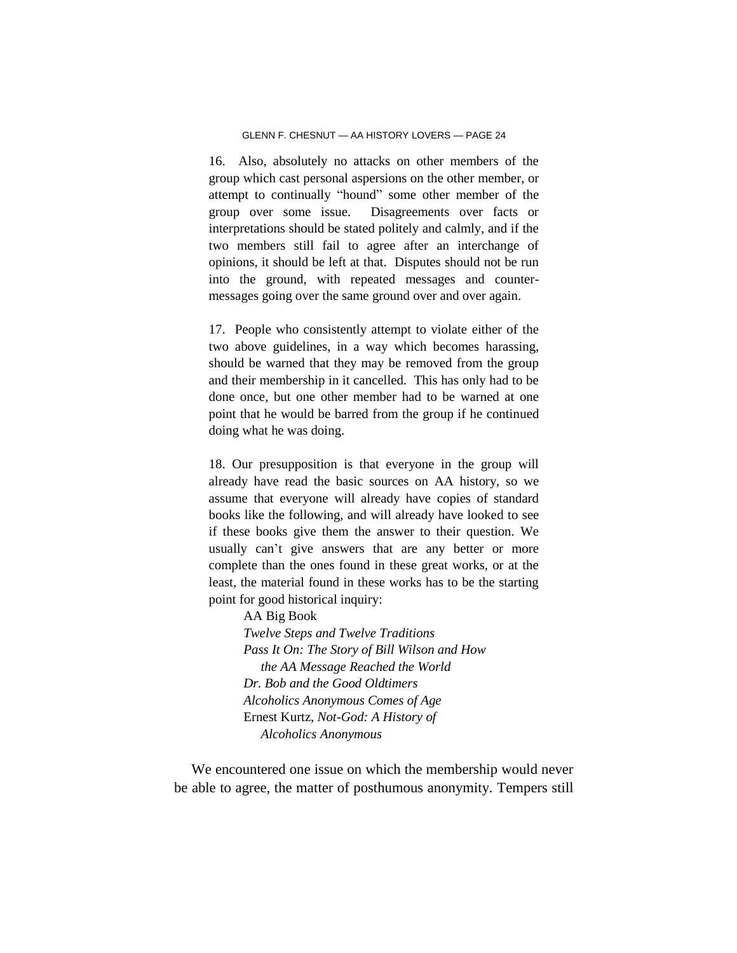16. Also, absolutely no attacks on other members of the group which cast personal aspersions on the other member, or attempt to continually "hound" some other member of the group over some issue. Disagreements over facts or interpretations should be stated politely and calmly, and if the two members still fail to agree after an interchange of opinions, it should be left at that. Disputes should not be run into the ground, with repeated messages and countermessages going over the same ground over and over again.

17. People who consistently attempt to violate either of the two above guidelines, in a way which becomes harassing, should be warned that they may be removed from the group and their membership in it cancelled. This has only had to be done once, but one other member had to be warned at one point that he would be barred from the group if he continued doing what he was doing.

18. Our presupposition is that everyone in the group will already have read the basic sources on AA history, so we assume that everyone will already have copies of standard books like the following, and will already have looked to see if these books give them the answer to their question. We usually can't give answers that are any better or more complete than the ones found in these great works, or at the least, the material found in these works has to be the starting point for good historical inquiry:

> AA Big Book *Twelve Steps and Twelve Traditions Pass It On: The Story of Bill Wilson and How the AA Message Reached the World Dr. Bob and the Good Oldtimers Alcoholics Anonymous Comes of Age* Ernest Kurtz, *Not-God: A History of Alcoholics Anonymous*

We encountered one issue on which the membership would never be able to agree, the matter of posthumous anonymity. Tempers still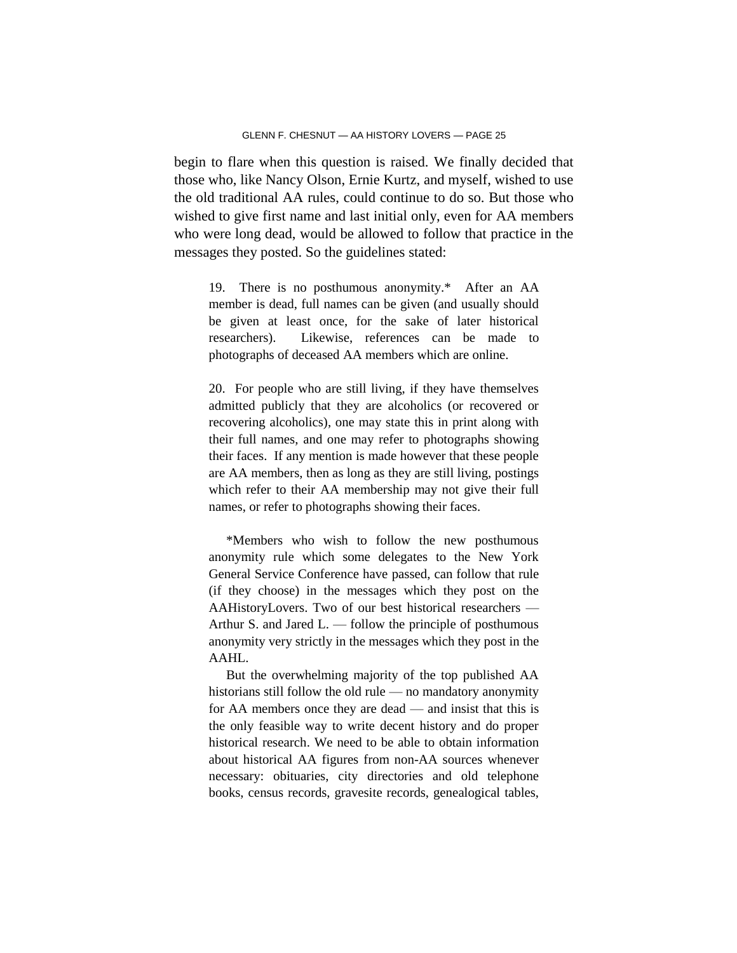begin to flare when this question is raised. We finally decided that those who, like Nancy Olson, Ernie Kurtz, and myself, wished to use the old traditional AA rules, could continue to do so. But those who wished to give first name and last initial only, even for AA members who were long dead, would be allowed to follow that practice in the messages they posted. So the guidelines stated:

19. There is no posthumous anonymity.\* After an AA member is dead, full names can be given (and usually should be given at least once, for the sake of later historical researchers). Likewise, references can be made to photographs of deceased AA members which are online.

20. For people who are still living, if they have themselves admitted publicly that they are alcoholics (or recovered or recovering alcoholics), one may state this in print along with their full names, and one may refer to photographs showing their faces. If any mention is made however that these people are AA members, then as long as they are still living, postings which refer to their AA membership may not give their full names, or refer to photographs showing their faces.

\*Members who wish to follow the new posthumous anonymity rule which some delegates to the New York General Service Conference have passed, can follow that rule (if they choose) in the messages which they post on the AAHistoryLovers. Two of our best historical researchers — Arthur S. and Jared L. — follow the principle of posthumous anonymity very strictly in the messages which they post in the AAHL.

But the overwhelming majority of the top published AA historians still follow the old rule — no mandatory anonymity for AA members once they are dead — and insist that this is the only feasible way to write decent history and do proper historical research. We need to be able to obtain information about historical AA figures from non-AA sources whenever necessary: obituaries, city directories and old telephone books, census records, gravesite records, genealogical tables,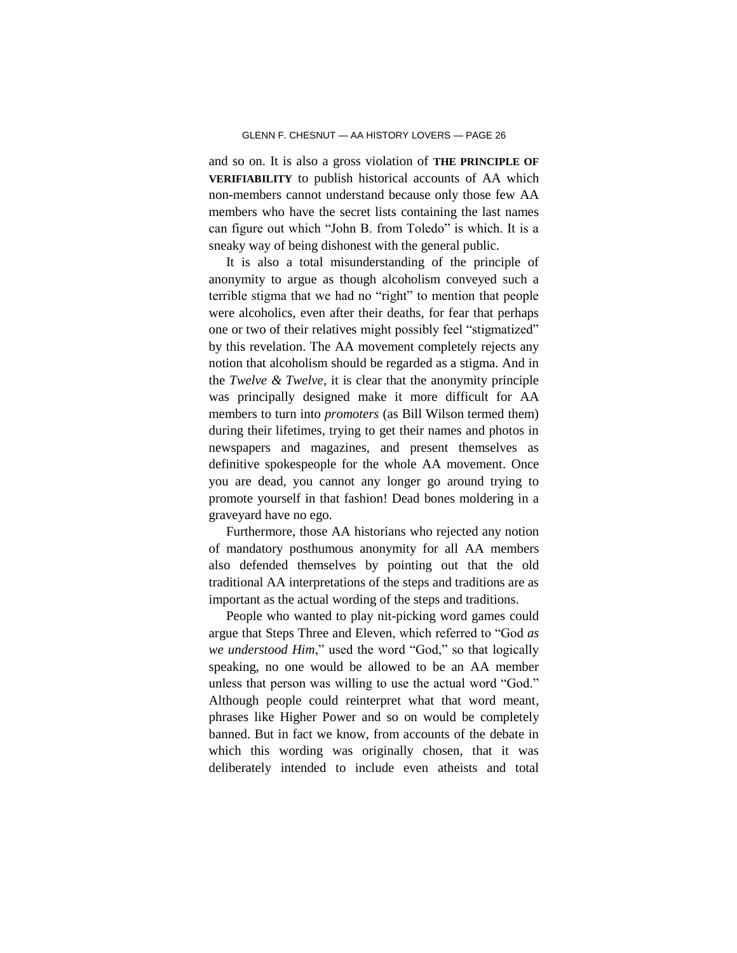and so on. It is also a gross violation of **THE PRINCIPLE OF VERIFIABILITY** to publish historical accounts of AA which non-members cannot understand because only those few AA members who have the secret lists containing the last names can figure out which "John B. from Toledo" is which. It is a sneaky way of being dishonest with the general public.

It is also a total misunderstanding of the principle of anonymity to argue as though alcoholism conveyed such a terrible stigma that we had no "right" to mention that people were alcoholics, even after their deaths, for fear that perhaps one or two of their relatives might possibly feel "stigmatized" by this revelation. The AA movement completely rejects any notion that alcoholism should be regarded as a stigma. And in the *Twelve & Twelve*, it is clear that the anonymity principle was principally designed make it more difficult for AA members to turn into *promoters* (as Bill Wilson termed them) during their lifetimes, trying to get their names and photos in newspapers and magazines, and present themselves as definitive spokespeople for the whole AA movement. Once you are dead, you cannot any longer go around trying to promote yourself in that fashion! Dead bones moldering in a graveyard have no ego.

Furthermore, those AA historians who rejected any notion of mandatory posthumous anonymity for all AA members also defended themselves by pointing out that the old traditional AA interpretations of the steps and traditions are as important as the actual wording of the steps and traditions.

People who wanted to play nit-picking word games could argue that Steps Three and Eleven, which referred to "God *as we understood Him*," used the word "God," so that logically speaking, no one would be allowed to be an AA member unless that person was willing to use the actual word "God." Although people could reinterpret what that word meant, phrases like Higher Power and so on would be completely banned. But in fact we know, from accounts of the debate in which this wording was originally chosen, that it was deliberately intended to include even atheists and total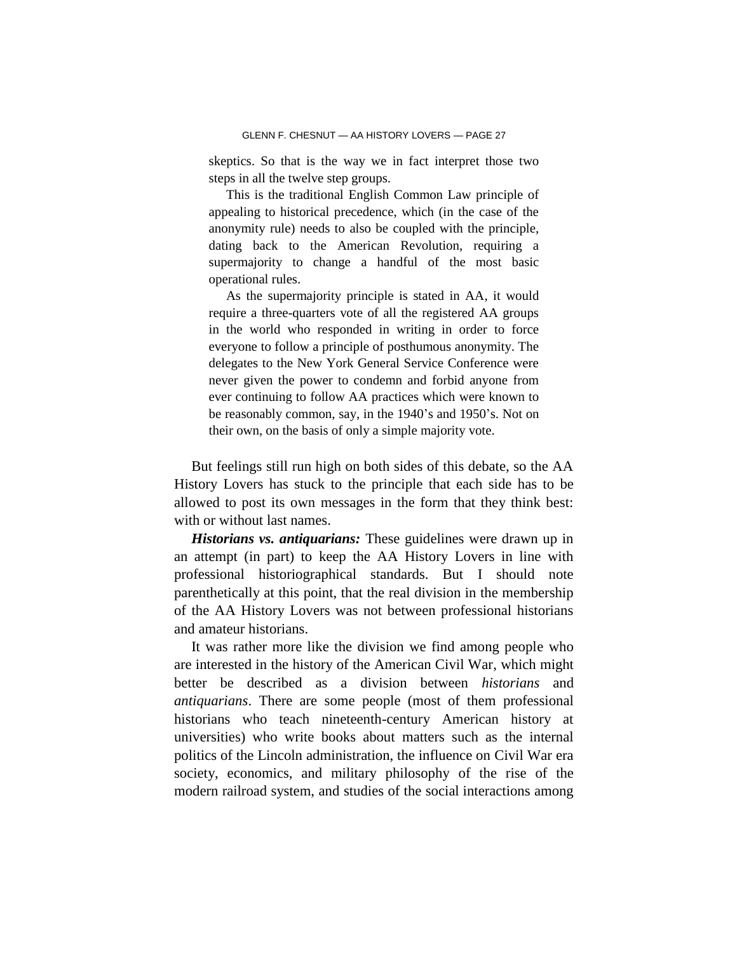skeptics. So that is the way we in fact interpret those two steps in all the twelve step groups.

This is the traditional English Common Law principle of appealing to historical precedence, which (in the case of the anonymity rule) needs to also be coupled with the principle, dating back to the American Revolution, requiring a supermajority to change a handful of the most basic operational rules.

As the supermajority principle is stated in AA, it would require a three-quarters vote of all the registered AA groups in the world who responded in writing in order to force everyone to follow a principle of posthumous anonymity. The delegates to the New York General Service Conference were never given the power to condemn and forbid anyone from ever continuing to follow AA practices which were known to be reasonably common, say, in the 1940's and 1950's. Not on their own, on the basis of only a simple majority vote.

But feelings still run high on both sides of this debate, so the AA History Lovers has stuck to the principle that each side has to be allowed to post its own messages in the form that they think best: with or without last names.

*Historians vs. antiquarians:* These guidelines were drawn up in an attempt (in part) to keep the AA History Lovers in line with professional historiographical standards. But I should note parenthetically at this point, that the real division in the membership of the AA History Lovers was not between professional historians and amateur historians.

It was rather more like the division we find among people who are interested in the history of the American Civil War, which might better be described as a division between *historians* and *antiquarians*. There are some people (most of them professional historians who teach nineteenth-century American history at universities) who write books about matters such as the internal politics of the Lincoln administration, the influence on Civil War era society, economics, and military philosophy of the rise of the modern railroad system, and studies of the social interactions among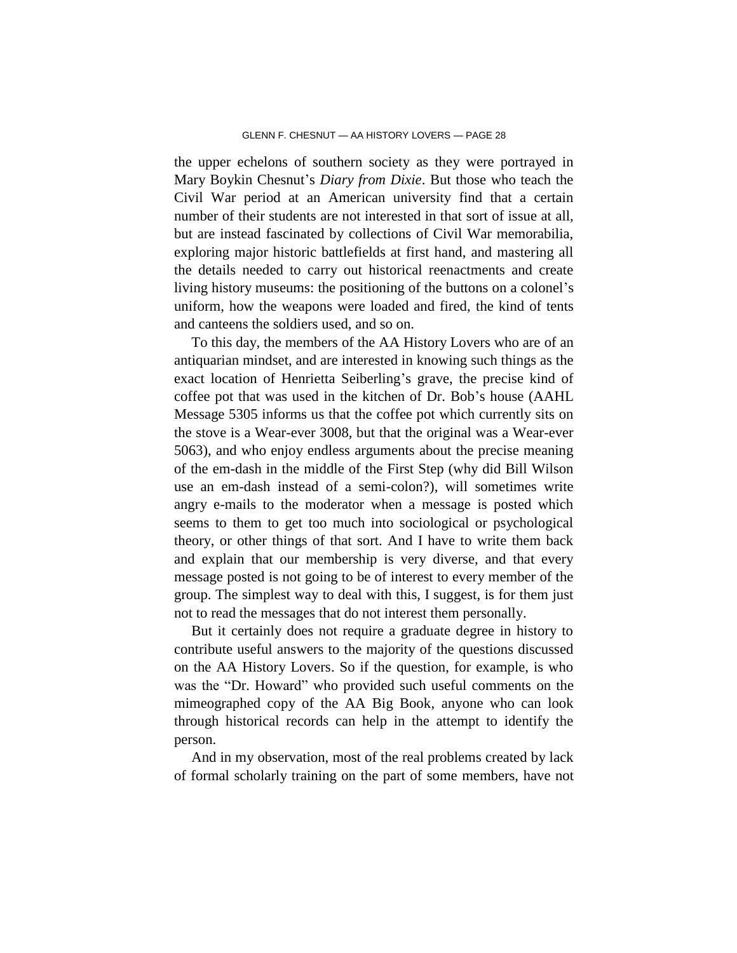the upper echelons of southern society as they were portrayed in Mary Boykin Chesnut's *Diary from Dixie*. But those who teach the Civil War period at an American university find that a certain number of their students are not interested in that sort of issue at all, but are instead fascinated by collections of Civil War memorabilia, exploring major historic battlefields at first hand, and mastering all the details needed to carry out historical reenactments and create living history museums: the positioning of the buttons on a colonel's uniform, how the weapons were loaded and fired, the kind of tents and canteens the soldiers used, and so on.

To this day, the members of the AA History Lovers who are of an antiquarian mindset, and are interested in knowing such things as the exact location of Henrietta Seiberling's grave, the precise kind of coffee pot that was used in the kitchen of Dr. Bob's house (AAHL Message 5305 informs us that the coffee pot which currently sits on the stove is a Wear-ever 3008, but that the original was a Wear-ever 5063), and who enjoy endless arguments about the precise meaning of the em-dash in the middle of the First Step (why did Bill Wilson use an em-dash instead of a semi-colon?), will sometimes write angry e-mails to the moderator when a message is posted which seems to them to get too much into sociological or psychological theory, or other things of that sort. And I have to write them back and explain that our membership is very diverse, and that every message posted is not going to be of interest to every member of the group. The simplest way to deal with this, I suggest, is for them just not to read the messages that do not interest them personally.

But it certainly does not require a graduate degree in history to contribute useful answers to the majority of the questions discussed on the AA History Lovers. So if the question, for example, is who was the "Dr. Howard" who provided such useful comments on the mimeographed copy of the AA Big Book, anyone who can look through historical records can help in the attempt to identify the person.

And in my observation, most of the real problems created by lack of formal scholarly training on the part of some members, have not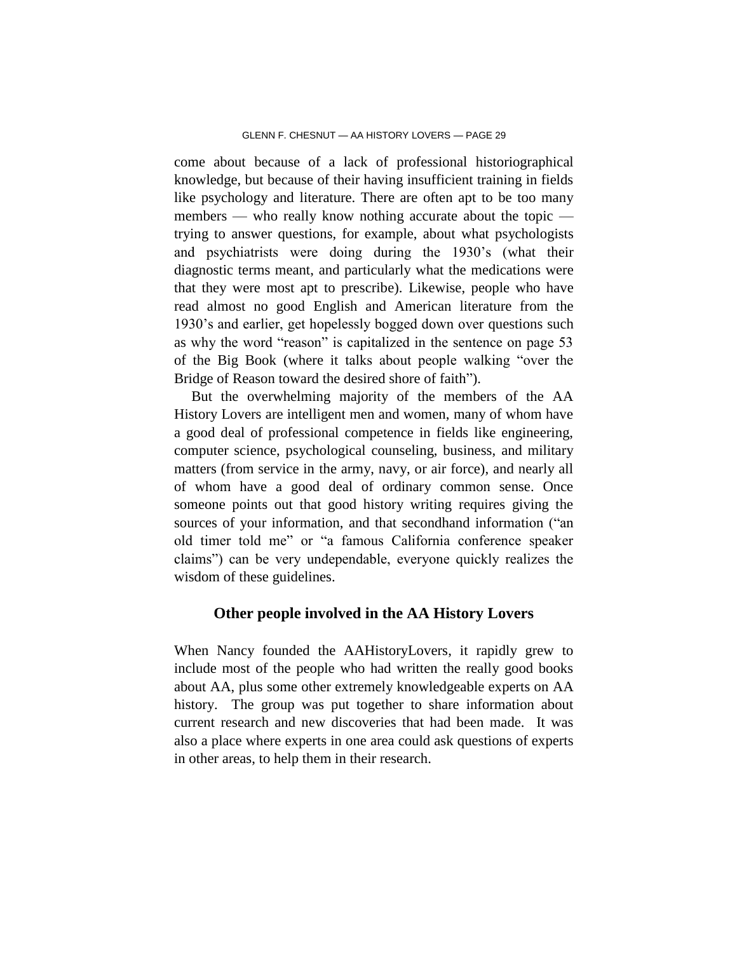come about because of a lack of professional historiographical knowledge, but because of their having insufficient training in fields like psychology and literature. There are often apt to be too many members — who really know nothing accurate about the topic trying to answer questions, for example, about what psychologists and psychiatrists were doing during the 1930's (what their diagnostic terms meant, and particularly what the medications were that they were most apt to prescribe). Likewise, people who have read almost no good English and American literature from the 1930's and earlier, get hopelessly bogged down over questions such as why the word "reason" is capitalized in the sentence on page 53 of the Big Book (where it talks about people walking "over the Bridge of Reason toward the desired shore of faith").

But the overwhelming majority of the members of the AA History Lovers are intelligent men and women, many of whom have a good deal of professional competence in fields like engineering, computer science, psychological counseling, business, and military matters (from service in the army, navy, or air force), and nearly all of whom have a good deal of ordinary common sense. Once someone points out that good history writing requires giving the sources of your information, and that secondhand information ("an old timer told me" or "a famous California conference speaker claims") can be very undependable, everyone quickly realizes the wisdom of these guidelines.

### **Other people involved in the AA History Lovers**

When Nancy founded the AAHistoryLovers, it rapidly grew to include most of the people who had written the really good books about AA, plus some other extremely knowledgeable experts on AA history. The group was put together to share information about current research and new discoveries that had been made. It was also a place where experts in one area could ask questions of experts in other areas, to help them in their research.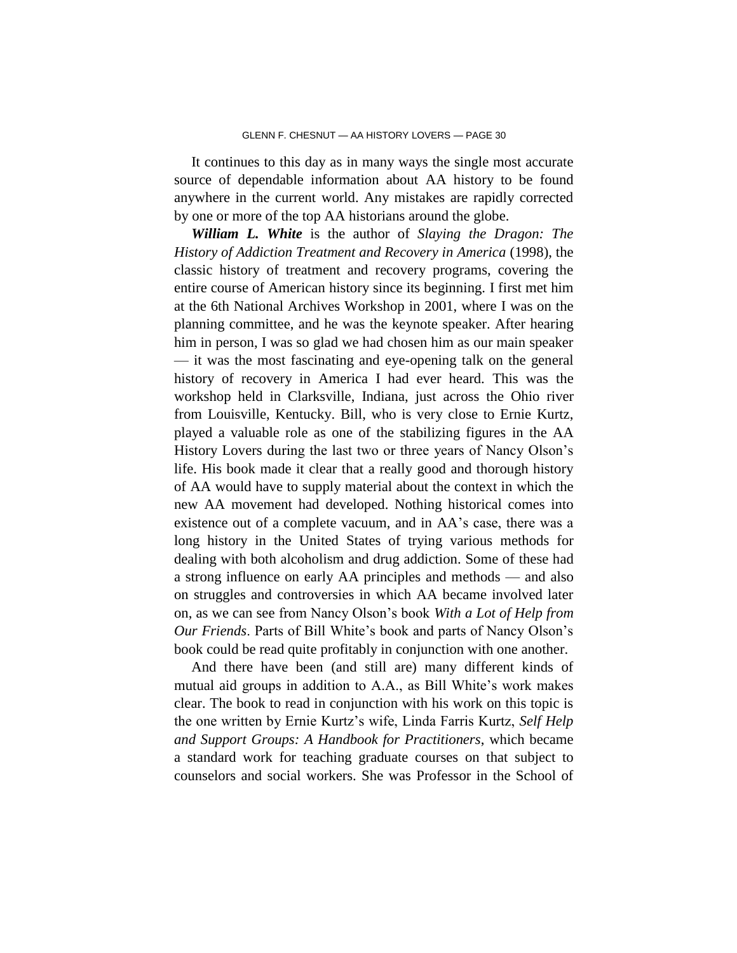It continues to this day as in many ways the single most accurate source of dependable information about AA history to be found anywhere in the current world. Any mistakes are rapidly corrected by one or more of the top AA historians around the globe.

*William L. White* is the author of *Slaying the Dragon: The History of Addiction Treatment and Recovery in America* (1998), the classic history of treatment and recovery programs, covering the entire course of American history since its beginning. I first met him at the 6th National Archives Workshop in 2001, where I was on the planning committee, and he was the keynote speaker. After hearing him in person, I was so glad we had chosen him as our main speaker — it was the most fascinating and eye-opening talk on the general history of recovery in America I had ever heard. This was the workshop held in Clarksville, Indiana, just across the Ohio river from Louisville, Kentucky. Bill, who is very close to Ernie Kurtz, played a valuable role as one of the stabilizing figures in the AA History Lovers during the last two or three years of Nancy Olson's life. His book made it clear that a really good and thorough history of AA would have to supply material about the context in which the new AA movement had developed. Nothing historical comes into existence out of a complete vacuum, and in AA's case, there was a long history in the United States of trying various methods for dealing with both alcoholism and drug addiction. Some of these had a strong influence on early AA principles and methods — and also on struggles and controversies in which AA became involved later on, as we can see from Nancy Olson's book *With a Lot of Help from Our Friends*. Parts of Bill White's book and parts of Nancy Olson's book could be read quite profitably in conjunction with one another.

And there have been (and still are) many different kinds of mutual aid groups in addition to A.A., as Bill White's work makes clear. The book to read in conjunction with his work on this topic is the one written by Ernie Kurtz's wife, Linda Farris Kurtz, *Self Help and Support Groups: A Handbook for Practitioners*, which became a standard work for teaching graduate courses on that subject to counselors and social workers. She was Professor in the School of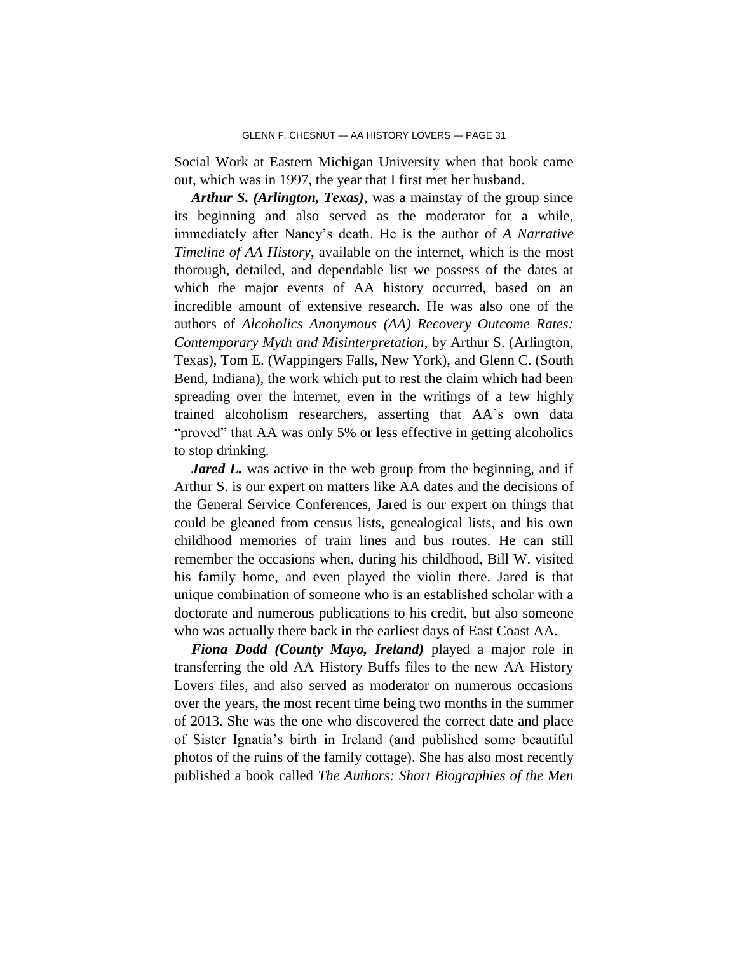Social Work at Eastern Michigan University when that book came out, which was in 1997, the year that I first met her husband.

*Arthur S. (Arlington, Texas)*, was a mainstay of the group since its beginning and also served as the moderator for a while, immediately after Nancy's death. He is the author of *A Narrative Timeline of AA History*, available on the internet, which is the most thorough, detailed, and dependable list we possess of the dates at which the major events of AA history occurred, based on an incredible amount of extensive research. He was also one of the authors of *Alcoholics Anonymous (AA) Recovery Outcome Rates: Contemporary Myth and Misinterpretation*, by Arthur S. (Arlington, Texas), Tom E. (Wappingers Falls, New York), and Glenn C. (South Bend, Indiana), the work which put to rest the claim which had been spreading over the internet, even in the writings of a few highly trained alcoholism researchers, asserting that AA's own data "proved" that AA was only 5% or less effective in getting alcoholics to stop drinking.

*Jared L.* was active in the web group from the beginning, and if Arthur S. is our expert on matters like AA dates and the decisions of the General Service Conferences, Jared is our expert on things that could be gleaned from census lists, genealogical lists, and his own childhood memories of train lines and bus routes. He can still remember the occasions when, during his childhood, Bill W. visited his family home, and even played the violin there. Jared is that unique combination of someone who is an established scholar with a doctorate and numerous publications to his credit, but also someone who was actually there back in the earliest days of East Coast AA.

*Fiona Dodd (County Mayo, Ireland)* played a major role in transferring the old AA History Buffs files to the new AA History Lovers files, and also served as moderator on numerous occasions over the years, the most recent time being two months in the summer of 2013. She was the one who discovered the correct date and place of Sister Ignatia's birth in Ireland (and published some beautiful photos of the ruins of the family cottage). She has also most recently published a book called *The Authors: Short Biographies of the Men*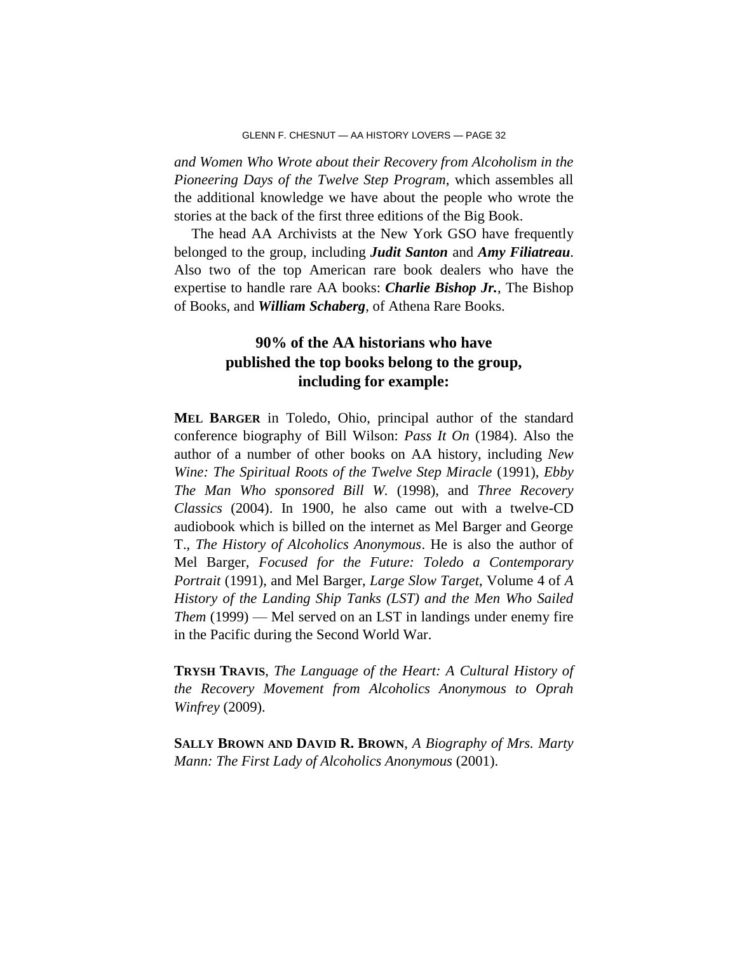*and Women Who Wrote about their Recovery from Alcoholism in the Pioneering Days of the Twelve Step Program*, which assembles all the additional knowledge we have about the people who wrote the stories at the back of the first three editions of the Big Book.

The head AA Archivists at the New York GSO have frequently belonged to the group, including *Judit Santon* and *Amy Filiatreau*. Also two of the top American rare book dealers who have the expertise to handle rare AA books: *Charlie Bishop Jr.*, The Bishop of Books, and *William Schaberg*, of Athena Rare Books.

# **90% of the AA historians who have published the top books belong to the group, including for example:**

**MEL BARGER** in Toledo, Ohio, principal author of the standard conference biography of Bill Wilson: *Pass It On* (1984). Also the author of a number of other books on AA history, including *New Wine: The Spiritual Roots of the Twelve Step Miracle* (1991), *Ebby The Man Who sponsored Bill W.* (1998), and *Three Recovery Classics* (2004). In 1900, he also came out with a twelve-CD audiobook which is billed on the internet as Mel Barger and George T., *The History of Alcoholics Anonymous*. He is also the author of Mel Barger, *Focused for the Future: Toledo a Contemporary Portrait* (1991), and Mel Barger, *Large Slow Target*, Volume 4 of *A History of the Landing Ship Tanks (LST) and the Men Who Sailed Them* (1999) — Mel served on an LST in landings under enemy fire in the Pacific during the Second World War.

**TRYSH TRAVIS**, *The Language of the Heart: A Cultural History of the Recovery Movement from Alcoholics Anonymous to Oprah Winfrey* (2009).

**SALLY BROWN AND DAVID R. BROWN**, *A Biography of Mrs. Marty Mann: The First Lady of Alcoholics Anonymous* (2001).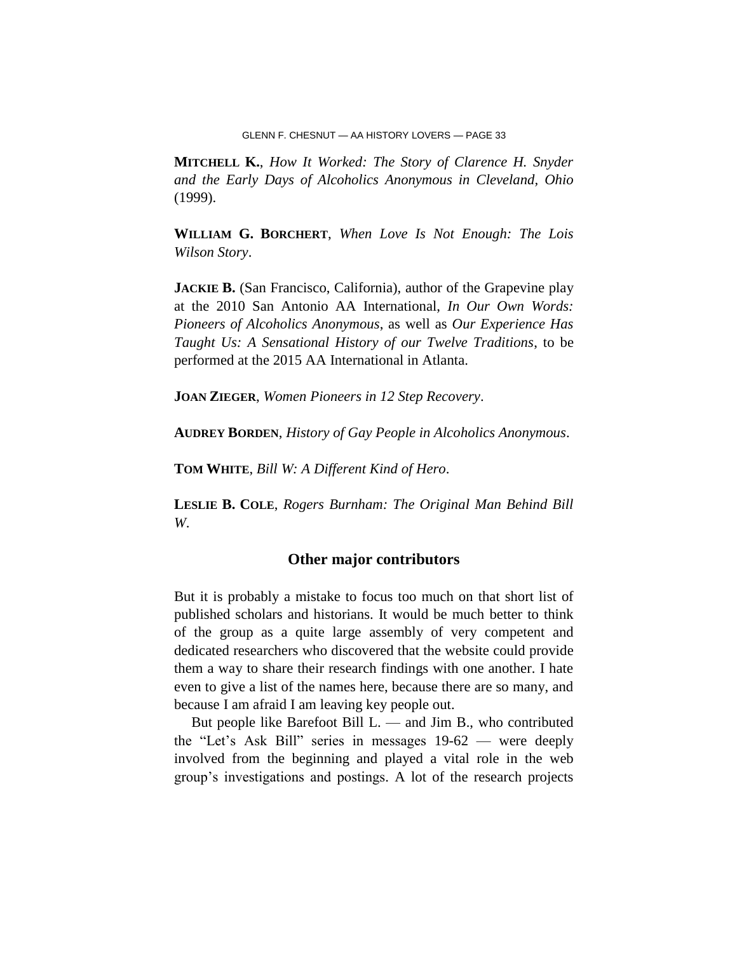**MITCHELL K.**, *How It Worked: The Story of Clarence H. Snyder and the Early Days of Alcoholics Anonymous in Cleveland, Ohio* (1999).

**WILLIAM G. BORCHERT**, *When Love Is Not Enough: The Lois Wilson Story*.

**JACKIE B.** (San Francisco, California), author of the Grapevine play at the 2010 San Antonio AA International, *In Our Own Words: Pioneers of Alcoholics Anonymous*, as well as *Our Experience Has Taught Us: A Sensational History of our Twelve Traditions*, to be performed at the 2015 AA International in Atlanta.

**JOAN ZIEGER**, *Women Pioneers in 12 Step Recovery*.

**AUDREY BORDEN**, *History of Gay People in Alcoholics Anonymous*.

**TOM WHITE**, *Bill W: A Different Kind of Hero*.

**LESLIE B. COLE**, *Rogers Burnham: The Original Man Behind Bill W*.

### **Other major contributors**

But it is probably a mistake to focus too much on that short list of published scholars and historians. It would be much better to think of the group as a quite large assembly of very competent and dedicated researchers who discovered that the website could provide them a way to share their research findings with one another. I hate even to give a list of the names here, because there are so many, and because I am afraid I am leaving key people out.

But people like Barefoot Bill L. — and Jim B., who contributed the "Let's Ask Bill" series in messages 19-62 — were deeply involved from the beginning and played a vital role in the web group's investigations and postings. A lot of the research projects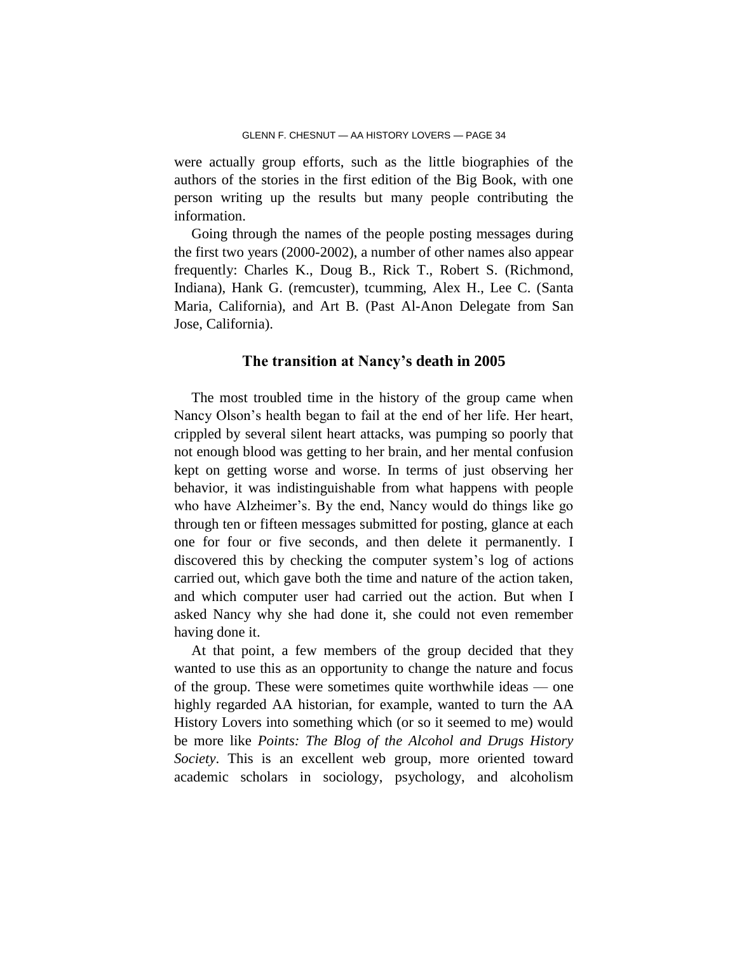were actually group efforts, such as the little biographies of the authors of the stories in the first edition of the Big Book, with one person writing up the results but many people contributing the information.

Going through the names of the people posting messages during the first two years (2000-2002), a number of other names also appear frequently: Charles K., Doug B., Rick T., Robert S. (Richmond, Indiana), Hank G. (remcuster), tcumming, Alex H., Lee C. (Santa Maria, California), and Art B. (Past Al-Anon Delegate from San Jose, California).

### **The transition at Nancy's death in 2005**

The most troubled time in the history of the group came when Nancy Olson's health began to fail at the end of her life. Her heart, crippled by several silent heart attacks, was pumping so poorly that not enough blood was getting to her brain, and her mental confusion kept on getting worse and worse. In terms of just observing her behavior, it was indistinguishable from what happens with people who have Alzheimer's. By the end, Nancy would do things like go through ten or fifteen messages submitted for posting, glance at each one for four or five seconds, and then delete it permanently. I discovered this by checking the computer system's log of actions carried out, which gave both the time and nature of the action taken, and which computer user had carried out the action. But when I asked Nancy why she had done it, she could not even remember having done it.

At that point, a few members of the group decided that they wanted to use this as an opportunity to change the nature and focus of the group. These were sometimes quite worthwhile ideas — one highly regarded AA historian, for example, wanted to turn the AA History Lovers into something which (or so it seemed to me) would be more like *Points: The Blog of the Alcohol and Drugs History Society*. This is an excellent web group, more oriented toward academic scholars in sociology, psychology, and alcoholism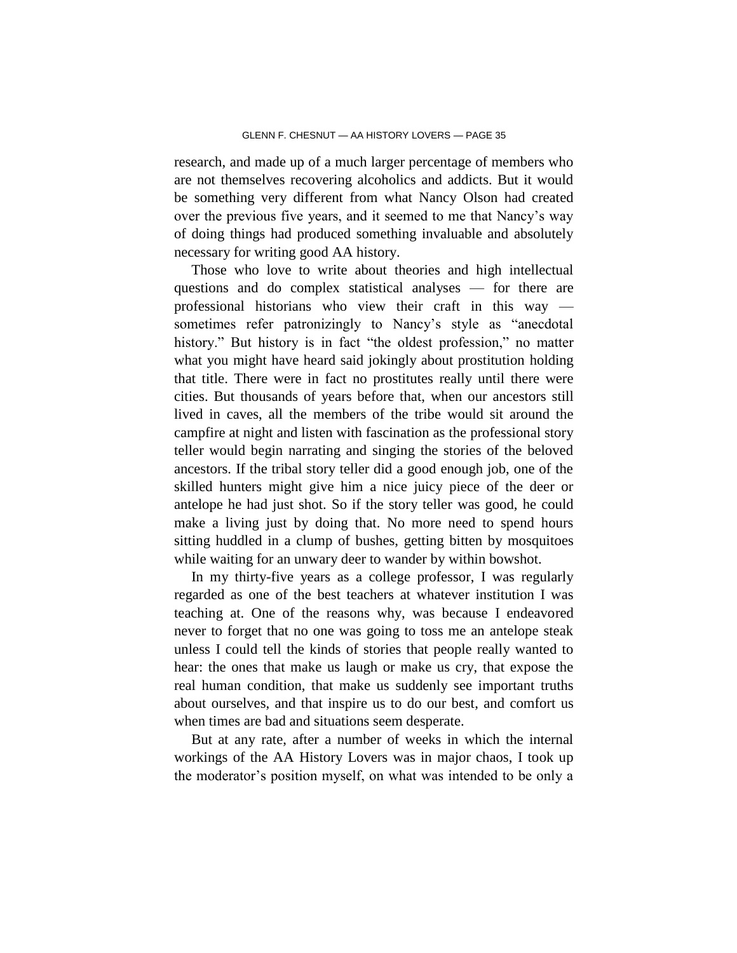research, and made up of a much larger percentage of members who are not themselves recovering alcoholics and addicts. But it would be something very different from what Nancy Olson had created over the previous five years, and it seemed to me that Nancy's way of doing things had produced something invaluable and absolutely necessary for writing good AA history.

Those who love to write about theories and high intellectual questions and do complex statistical analyses — for there are professional historians who view their craft in this way sometimes refer patronizingly to Nancy's style as "anecdotal history." But history is in fact "the oldest profession," no matter what you might have heard said jokingly about prostitution holding that title. There were in fact no prostitutes really until there were cities. But thousands of years before that, when our ancestors still lived in caves, all the members of the tribe would sit around the campfire at night and listen with fascination as the professional story teller would begin narrating and singing the stories of the beloved ancestors. If the tribal story teller did a good enough job, one of the skilled hunters might give him a nice juicy piece of the deer or antelope he had just shot. So if the story teller was good, he could make a living just by doing that. No more need to spend hours sitting huddled in a clump of bushes, getting bitten by mosquitoes while waiting for an unwary deer to wander by within bowshot.

In my thirty-five years as a college professor, I was regularly regarded as one of the best teachers at whatever institution I was teaching at. One of the reasons why, was because I endeavored never to forget that no one was going to toss me an antelope steak unless I could tell the kinds of stories that people really wanted to hear: the ones that make us laugh or make us cry, that expose the real human condition, that make us suddenly see important truths about ourselves, and that inspire us to do our best, and comfort us when times are bad and situations seem desperate.

But at any rate, after a number of weeks in which the internal workings of the AA History Lovers was in major chaos, I took up the moderator's position myself, on what was intended to be only a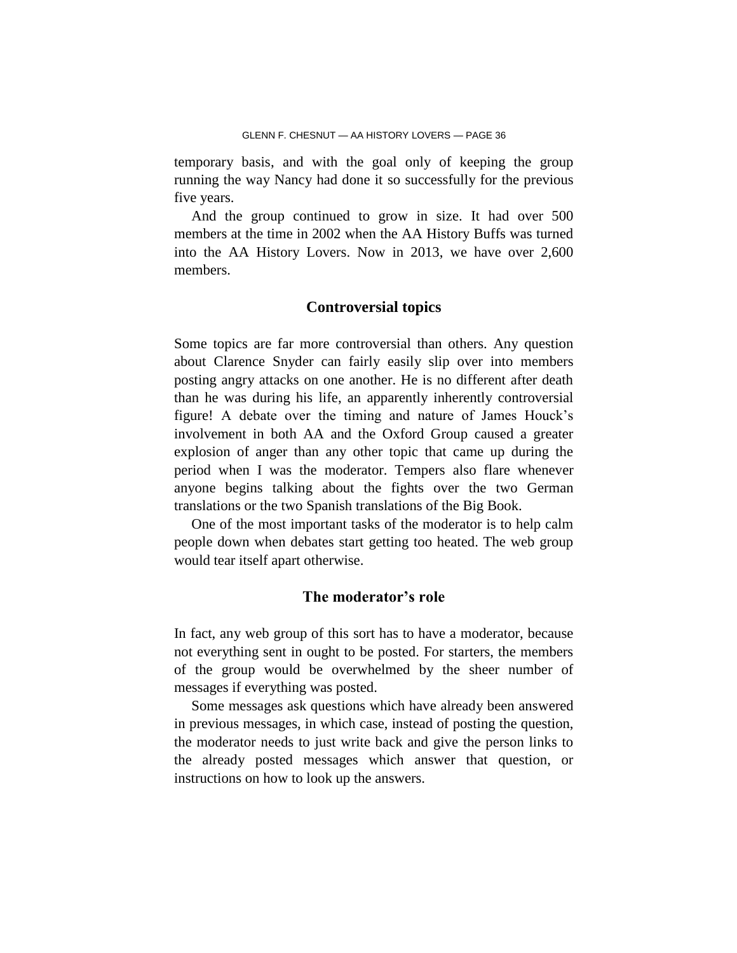temporary basis, and with the goal only of keeping the group running the way Nancy had done it so successfully for the previous five years.

And the group continued to grow in size. It had over 500 members at the time in 2002 when the AA History Buffs was turned into the AA History Lovers. Now in 2013, we have over 2,600 members.

### **Controversial topics**

Some topics are far more controversial than others. Any question about Clarence Snyder can fairly easily slip over into members posting angry attacks on one another. He is no different after death than he was during his life, an apparently inherently controversial figure! A debate over the timing and nature of James Houck's involvement in both AA and the Oxford Group caused a greater explosion of anger than any other topic that came up during the period when I was the moderator. Tempers also flare whenever anyone begins talking about the fights over the two German translations or the two Spanish translations of the Big Book.

One of the most important tasks of the moderator is to help calm people down when debates start getting too heated. The web group would tear itself apart otherwise.

### **The moderator's role**

In fact, any web group of this sort has to have a moderator, because not everything sent in ought to be posted. For starters, the members of the group would be overwhelmed by the sheer number of messages if everything was posted.

Some messages ask questions which have already been answered in previous messages, in which case, instead of posting the question, the moderator needs to just write back and give the person links to the already posted messages which answer that question, or instructions on how to look up the answers.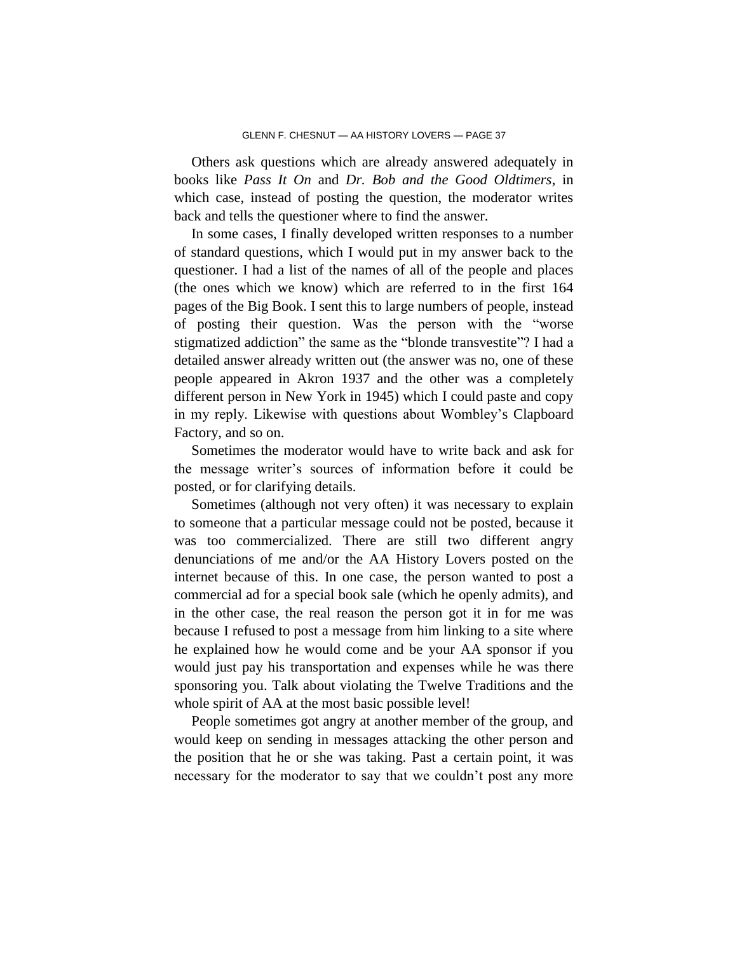Others ask questions which are already answered adequately in books like *Pass It On* and *Dr. Bob and the Good Oldtimers*, in which case, instead of posting the question, the moderator writes back and tells the questioner where to find the answer.

In some cases, I finally developed written responses to a number of standard questions, which I would put in my answer back to the questioner. I had a list of the names of all of the people and places (the ones which we know) which are referred to in the first 164 pages of the Big Book. I sent this to large numbers of people, instead of posting their question. Was the person with the "worse stigmatized addiction" the same as the "blonde transvestite"? I had a detailed answer already written out (the answer was no, one of these people appeared in Akron 1937 and the other was a completely different person in New York in 1945) which I could paste and copy in my reply. Likewise with questions about Wombley's Clapboard Factory, and so on.

Sometimes the moderator would have to write back and ask for the message writer's sources of information before it could be posted, or for clarifying details.

Sometimes (although not very often) it was necessary to explain to someone that a particular message could not be posted, because it was too commercialized. There are still two different angry denunciations of me and/or the AA History Lovers posted on the internet because of this. In one case, the person wanted to post a commercial ad for a special book sale (which he openly admits), and in the other case, the real reason the person got it in for me was because I refused to post a message from him linking to a site where he explained how he would come and be your AA sponsor if you would just pay his transportation and expenses while he was there sponsoring you. Talk about violating the Twelve Traditions and the whole spirit of AA at the most basic possible level!

People sometimes got angry at another member of the group, and would keep on sending in messages attacking the other person and the position that he or she was taking. Past a certain point, it was necessary for the moderator to say that we couldn't post any more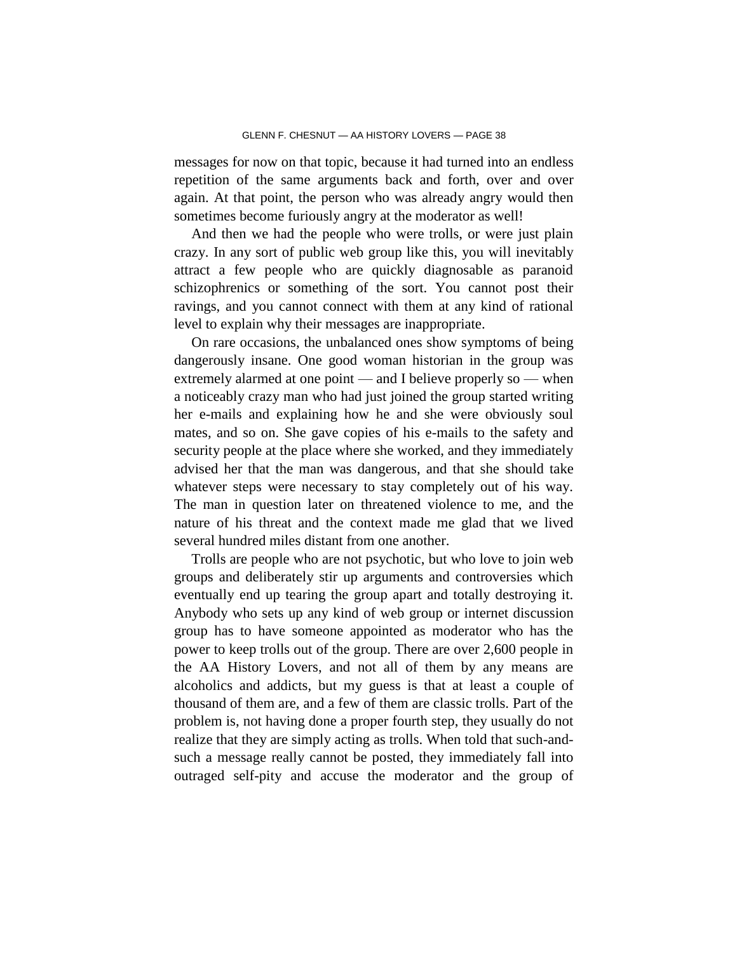messages for now on that topic, because it had turned into an endless repetition of the same arguments back and forth, over and over again. At that point, the person who was already angry would then sometimes become furiously angry at the moderator as well!

And then we had the people who were trolls, or were just plain crazy. In any sort of public web group like this, you will inevitably attract a few people who are quickly diagnosable as paranoid schizophrenics or something of the sort. You cannot post their ravings, and you cannot connect with them at any kind of rational level to explain why their messages are inappropriate.

On rare occasions, the unbalanced ones show symptoms of being dangerously insane. One good woman historian in the group was extremely alarmed at one point — and I believe properly so — when a noticeably crazy man who had just joined the group started writing her e-mails and explaining how he and she were obviously soul mates, and so on. She gave copies of his e-mails to the safety and security people at the place where she worked, and they immediately advised her that the man was dangerous, and that she should take whatever steps were necessary to stay completely out of his way. The man in question later on threatened violence to me, and the nature of his threat and the context made me glad that we lived several hundred miles distant from one another.

Trolls are people who are not psychotic, but who love to join web groups and deliberately stir up arguments and controversies which eventually end up tearing the group apart and totally destroying it. Anybody who sets up any kind of web group or internet discussion group has to have someone appointed as moderator who has the power to keep trolls out of the group. There are over 2,600 people in the AA History Lovers, and not all of them by any means are alcoholics and addicts, but my guess is that at least a couple of thousand of them are, and a few of them are classic trolls. Part of the problem is, not having done a proper fourth step, they usually do not realize that they are simply acting as trolls. When told that such-andsuch a message really cannot be posted, they immediately fall into outraged self-pity and accuse the moderator and the group of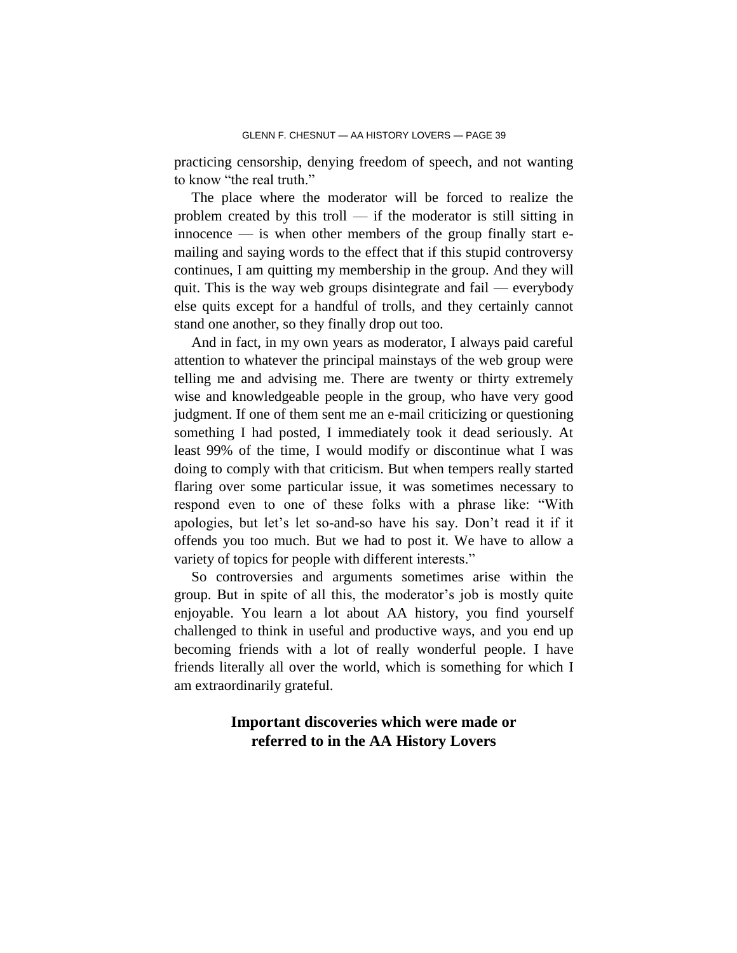practicing censorship, denying freedom of speech, and not wanting to know "the real truth."

The place where the moderator will be forced to realize the problem created by this troll — if the moderator is still sitting in  $\frac{1}{2}$  innocence — is when other members of the group finally start emailing and saying words to the effect that if this stupid controversy continues, I am quitting my membership in the group. And they will quit. This is the way web groups disintegrate and fail — everybody else quits except for a handful of trolls, and they certainly cannot stand one another, so they finally drop out too.

And in fact, in my own years as moderator, I always paid careful attention to whatever the principal mainstays of the web group were telling me and advising me. There are twenty or thirty extremely wise and knowledgeable people in the group, who have very good judgment. If one of them sent me an e-mail criticizing or questioning something I had posted, I immediately took it dead seriously. At least 99% of the time, I would modify or discontinue what I was doing to comply with that criticism. But when tempers really started flaring over some particular issue, it was sometimes necessary to respond even to one of these folks with a phrase like: "With apologies, but let's let so-and-so have his say. Don't read it if it offends you too much. But we had to post it. We have to allow a variety of topics for people with different interests."

So controversies and arguments sometimes arise within the group. But in spite of all this, the moderator's job is mostly quite enjoyable. You learn a lot about AA history, you find yourself challenged to think in useful and productive ways, and you end up becoming friends with a lot of really wonderful people. I have friends literally all over the world, which is something for which I am extraordinarily grateful.

# **Important discoveries which were made or referred to in the AA History Lovers**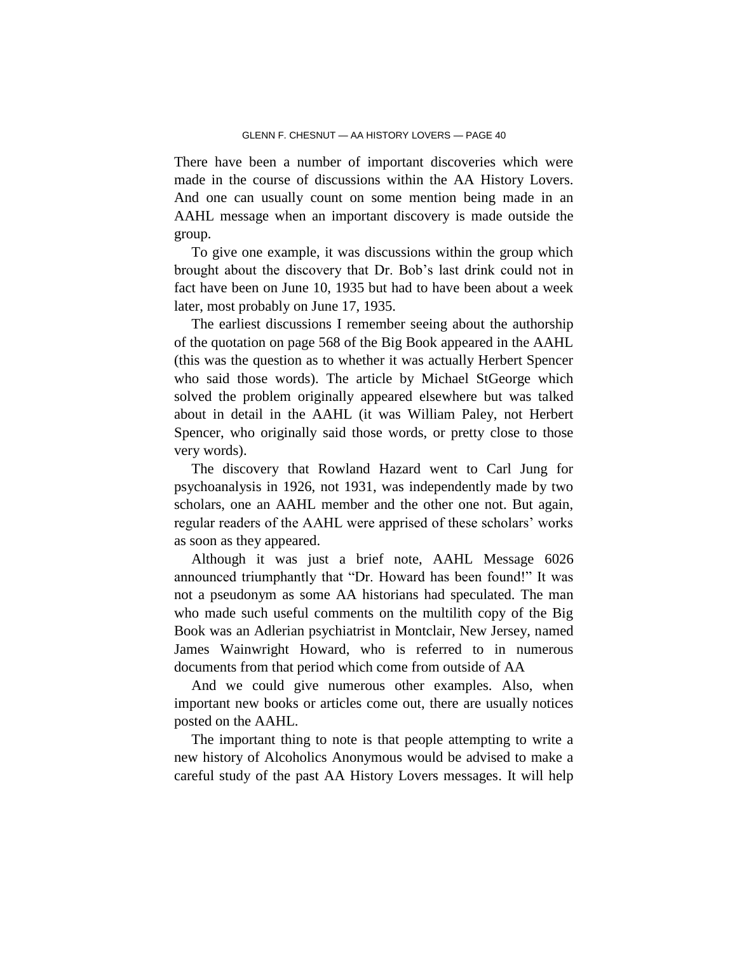There have been a number of important discoveries which were made in the course of discussions within the AA History Lovers. And one can usually count on some mention being made in an AAHL message when an important discovery is made outside the group.

To give one example, it was discussions within the group which brought about the discovery that Dr. Bob's last drink could not in fact have been on June 10, 1935 but had to have been about a week later, most probably on June 17, 1935.

The earliest discussions I remember seeing about the authorship of the quotation on page 568 of the Big Book appeared in the AAHL (this was the question as to whether it was actually Herbert Spencer who said those words). The article by Michael StGeorge which solved the problem originally appeared elsewhere but was talked about in detail in the AAHL (it was William Paley, not Herbert Spencer, who originally said those words, or pretty close to those very words).

The discovery that Rowland Hazard went to Carl Jung for psychoanalysis in 1926, not 1931, was independently made by two scholars, one an AAHL member and the other one not. But again, regular readers of the AAHL were apprised of these scholars' works as soon as they appeared.

Although it was just a brief note, AAHL Message 6026 announced triumphantly that "Dr. Howard has been found!" It was not a pseudonym as some AA historians had speculated. The man who made such useful comments on the multilith copy of the Big Book was an Adlerian psychiatrist in Montclair, New Jersey, named James Wainwright Howard, who is referred to in numerous documents from that period which come from outside of AA

And we could give numerous other examples. Also, when important new books or articles come out, there are usually notices posted on the AAHL.

The important thing to note is that people attempting to write a new history of Alcoholics Anonymous would be advised to make a careful study of the past AA History Lovers messages. It will help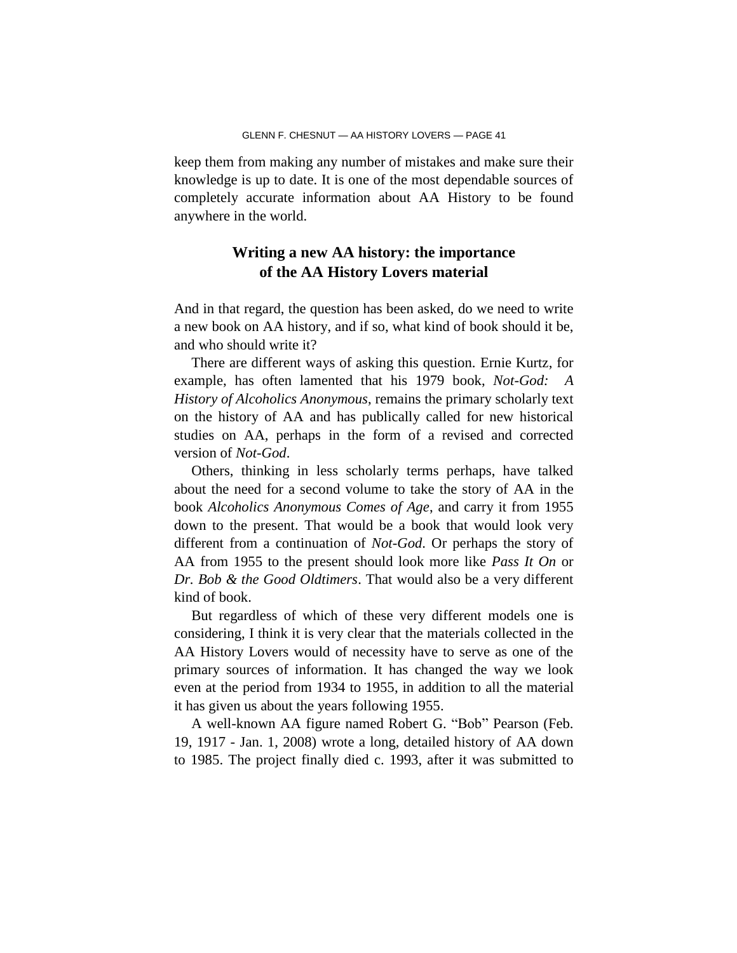keep them from making any number of mistakes and make sure their knowledge is up to date. It is one of the most dependable sources of completely accurate information about AA History to be found anywhere in the world.

### **Writing a new AA history: the importance of the AA History Lovers material**

And in that regard, the question has been asked, do we need to write a new book on AA history, and if so, what kind of book should it be, and who should write it?

There are different ways of asking this question. Ernie Kurtz, for example, has often lamented that his 1979 book, *Not-God: A History of Alcoholics Anonymous*, remains the primary scholarly text on the history of AA and has publically called for new historical studies on AA, perhaps in the form of a revised and corrected version of *Not-God*.

Others, thinking in less scholarly terms perhaps, have talked about the need for a second volume to take the story of AA in the book *Alcoholics Anonymous Comes of Age*, and carry it from 1955 down to the present. That would be a book that would look very different from a continuation of *Not-God*. Or perhaps the story of AA from 1955 to the present should look more like *Pass It On* or *Dr. Bob & the Good Oldtimers*. That would also be a very different kind of book.

But regardless of which of these very different models one is considering, I think it is very clear that the materials collected in the AA History Lovers would of necessity have to serve as one of the primary sources of information. It has changed the way we look even at the period from 1934 to 1955, in addition to all the material it has given us about the years following 1955.

A well-known AA figure named Robert G. "Bob" Pearson (Feb. 19, 1917 - Jan. 1, 2008) wrote a long, detailed history of AA down to 1985. The project finally died c. 1993, after it was submitted to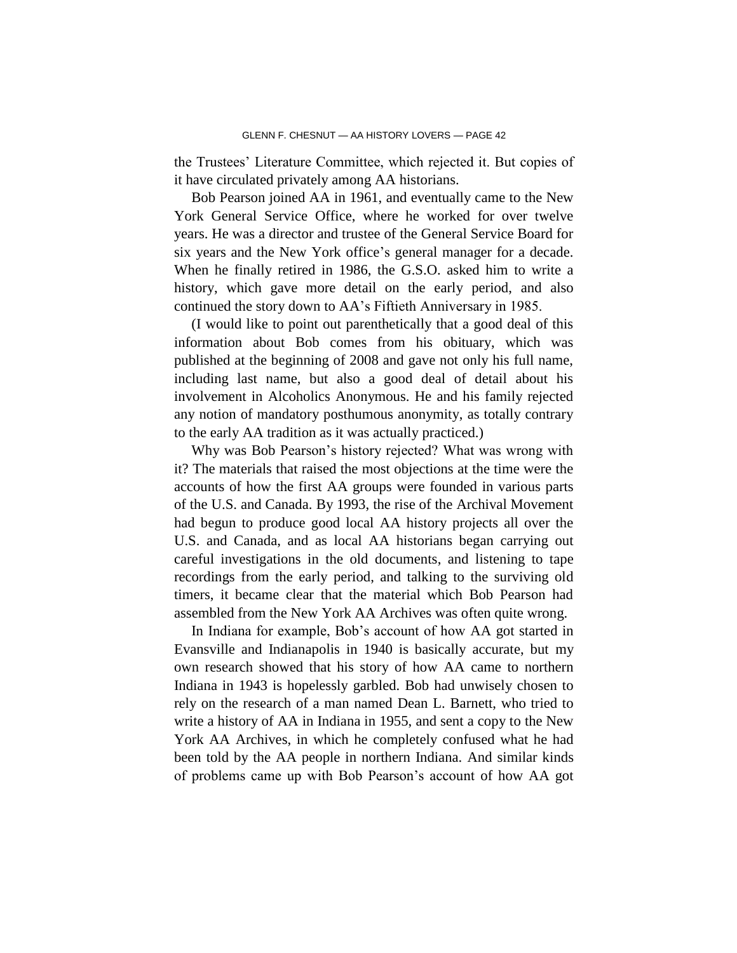the Trustees' Literature Committee, which rejected it. But copies of it have circulated privately among AA historians.

Bob Pearson joined AA in 1961, and eventually came to the New York General Service Office, where he worked for over twelve years. He was a director and trustee of the General Service Board for six years and the New York office's general manager for a decade. When he finally retired in 1986, the G.S.O. asked him to write a history, which gave more detail on the early period, and also continued the story down to AA's Fiftieth Anniversary in 1985.

(I would like to point out parenthetically that a good deal of this information about Bob comes from his obituary, which was published at the beginning of 2008 and gave not only his full name, including last name, but also a good deal of detail about his involvement in Alcoholics Anonymous. He and his family rejected any notion of mandatory posthumous anonymity, as totally contrary to the early AA tradition as it was actually practiced.)

Why was Bob Pearson's history rejected? What was wrong with it? The materials that raised the most objections at the time were the accounts of how the first AA groups were founded in various parts of the U.S. and Canada. By 1993, the rise of the Archival Movement had begun to produce good local AA history projects all over the U.S. and Canada, and as local AA historians began carrying out careful investigations in the old documents, and listening to tape recordings from the early period, and talking to the surviving old timers, it became clear that the material which Bob Pearson had assembled from the New York AA Archives was often quite wrong.

In Indiana for example, Bob's account of how AA got started in Evansville and Indianapolis in 1940 is basically accurate, but my own research showed that his story of how AA came to northern Indiana in 1943 is hopelessly garbled. Bob had unwisely chosen to rely on the research of a man named Dean L. Barnett, who tried to write a history of AA in Indiana in 1955, and sent a copy to the New York AA Archives, in which he completely confused what he had been told by the AA people in northern Indiana. And similar kinds of problems came up with Bob Pearson's account of how AA got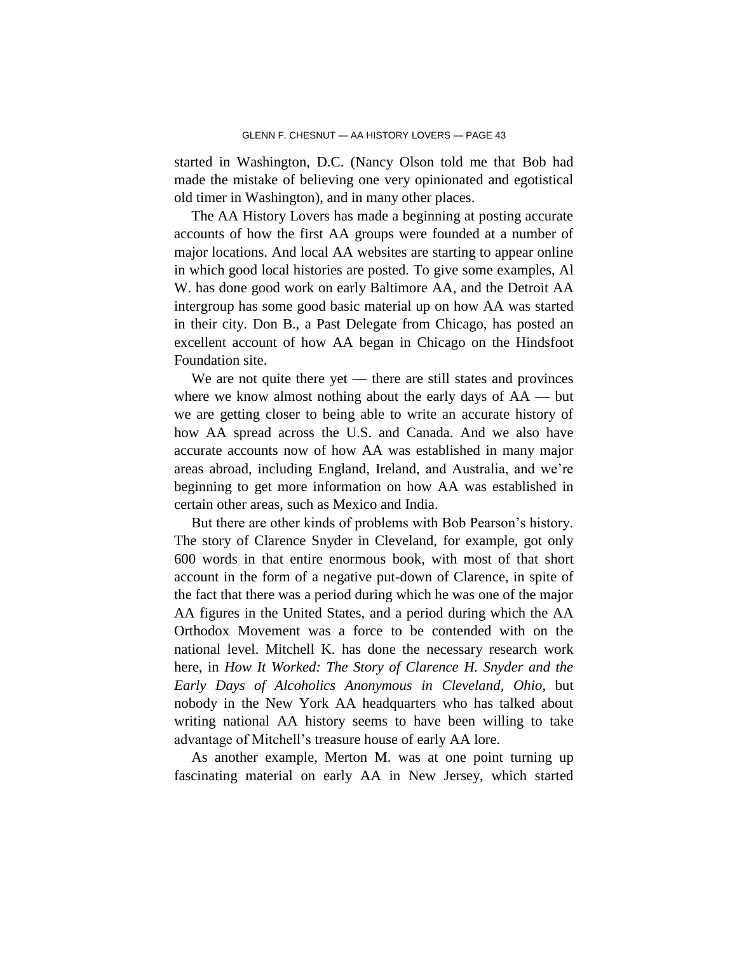started in Washington, D.C. (Nancy Olson told me that Bob had made the mistake of believing one very opinionated and egotistical old timer in Washington), and in many other places.

The AA History Lovers has made a beginning at posting accurate accounts of how the first AA groups were founded at a number of major locations. And local AA websites are starting to appear online in which good local histories are posted. To give some examples, Al W. has done good work on early Baltimore AA, and the Detroit AA intergroup has some good basic material up on how AA was started in their city. Don B., a Past Delegate from Chicago, has posted an excellent account of how AA began in Chicago on the Hindsfoot Foundation site.

We are not quite there yet — there are still states and provinces where we know almost nothing about the early days of  $AA$  — but we are getting closer to being able to write an accurate history of how AA spread across the U.S. and Canada. And we also have accurate accounts now of how AA was established in many major areas abroad, including England, Ireland, and Australia, and we're beginning to get more information on how AA was established in certain other areas, such as Mexico and India.

But there are other kinds of problems with Bob Pearson's history. The story of Clarence Snyder in Cleveland, for example, got only 600 words in that entire enormous book, with most of that short account in the form of a negative put-down of Clarence, in spite of the fact that there was a period during which he was one of the major AA figures in the United States, and a period during which the AA Orthodox Movement was a force to be contended with on the national level. Mitchell K. has done the necessary research work here, in *How It Worked: The Story of Clarence H. Snyder and the Early Days of Alcoholics Anonymous in Cleveland, Ohio*, but nobody in the New York AA headquarters who has talked about writing national AA history seems to have been willing to take advantage of Mitchell's treasure house of early AA lore.

As another example, Merton M. was at one point turning up fascinating material on early AA in New Jersey, which started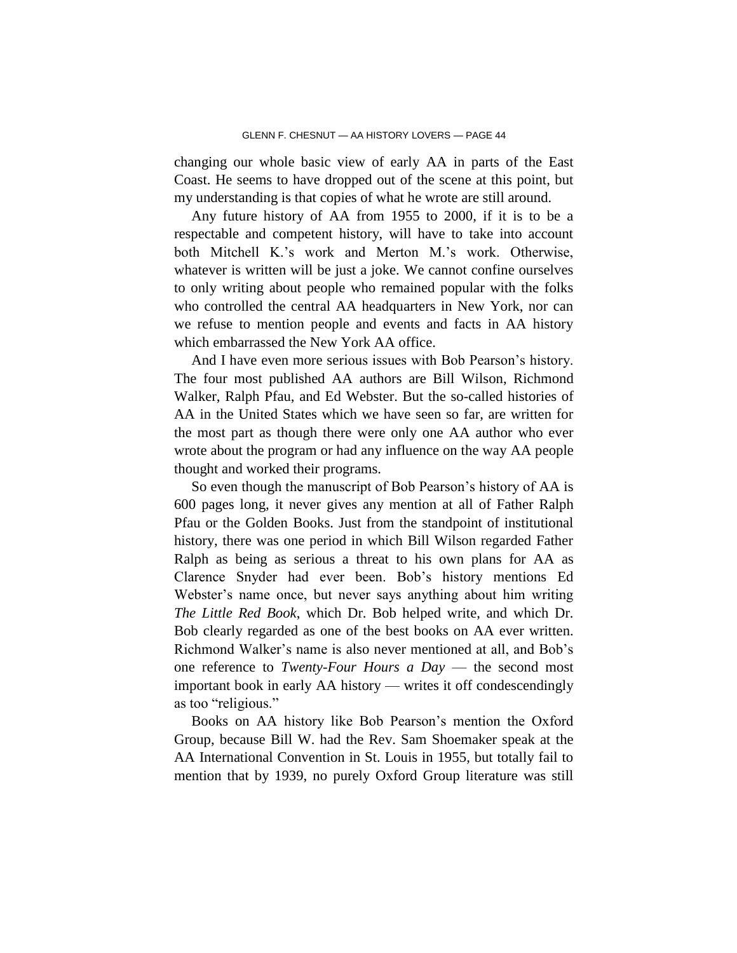changing our whole basic view of early AA in parts of the East Coast. He seems to have dropped out of the scene at this point, but my understanding is that copies of what he wrote are still around.

Any future history of AA from 1955 to 2000, if it is to be a respectable and competent history, will have to take into account both Mitchell K.'s work and Merton M.'s work. Otherwise, whatever is written will be just a joke. We cannot confine ourselves to only writing about people who remained popular with the folks who controlled the central AA headquarters in New York, nor can we refuse to mention people and events and facts in AA history which embarrassed the New York AA office.

And I have even more serious issues with Bob Pearson's history. The four most published AA authors are Bill Wilson, Richmond Walker, Ralph Pfau, and Ed Webster. But the so-called histories of AA in the United States which we have seen so far, are written for the most part as though there were only one AA author who ever wrote about the program or had any influence on the way AA people thought and worked their programs.

So even though the manuscript of Bob Pearson's history of AA is 600 pages long, it never gives any mention at all of Father Ralph Pfau or the Golden Books. Just from the standpoint of institutional history, there was one period in which Bill Wilson regarded Father Ralph as being as serious a threat to his own plans for AA as Clarence Snyder had ever been. Bob's history mentions Ed Webster's name once, but never says anything about him writing *The Little Red Book*, which Dr. Bob helped write, and which Dr. Bob clearly regarded as one of the best books on AA ever written. Richmond Walker's name is also never mentioned at all, and Bob's one reference to *Twenty-Four Hours a Day* — the second most important book in early AA history — writes it off condescendingly as too "religious."

Books on AA history like Bob Pearson's mention the Oxford Group, because Bill W. had the Rev. Sam Shoemaker speak at the AA International Convention in St. Louis in 1955, but totally fail to mention that by 1939, no purely Oxford Group literature was still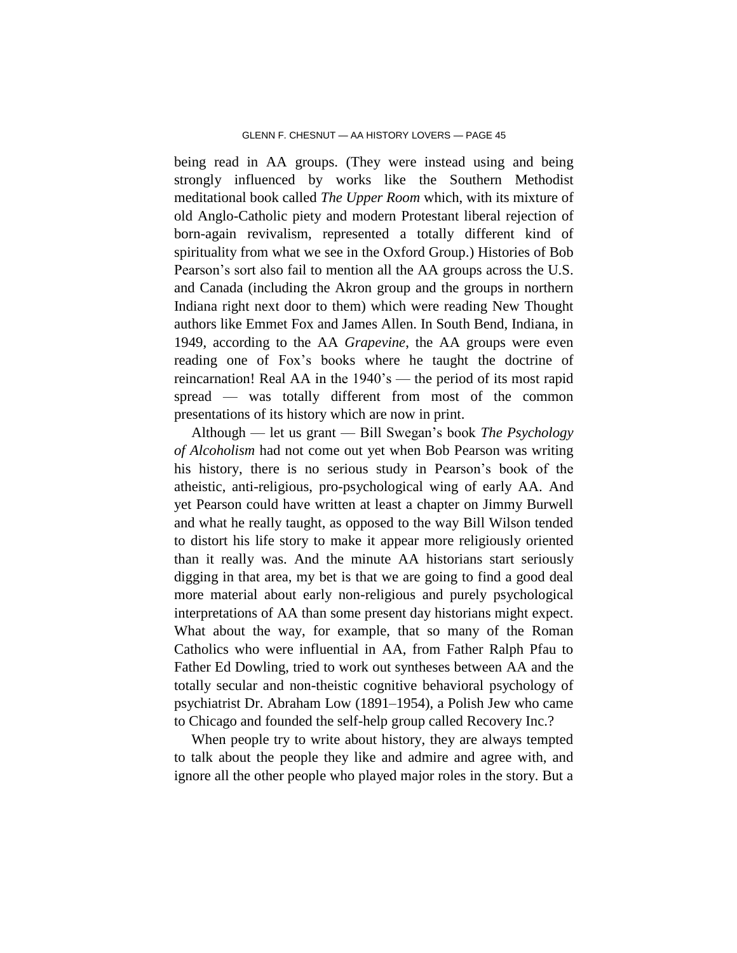being read in AA groups. (They were instead using and being strongly influenced by works like the Southern Methodist meditational book called *The Upper Room* which, with its mixture of old Anglo-Catholic piety and modern Protestant liberal rejection of born-again revivalism, represented a totally different kind of spirituality from what we see in the Oxford Group.) Histories of Bob Pearson's sort also fail to mention all the AA groups across the U.S. and Canada (including the Akron group and the groups in northern Indiana right next door to them) which were reading New Thought authors like Emmet Fox and James Allen. In South Bend, Indiana, in 1949, according to the AA *Grapevine*, the AA groups were even reading one of Fox's books where he taught the doctrine of reincarnation! Real AA in the 1940's — the period of its most rapid spread — was totally different from most of the common presentations of its history which are now in print.

Although — let us grant — Bill Swegan's book *The Psychology of Alcoholism* had not come out yet when Bob Pearson was writing his history, there is no serious study in Pearson's book of the atheistic, anti-religious, pro-psychological wing of early AA. And yet Pearson could have written at least a chapter on Jimmy Burwell and what he really taught, as opposed to the way Bill Wilson tended to distort his life story to make it appear more religiously oriented than it really was. And the minute AA historians start seriously digging in that area, my bet is that we are going to find a good deal more material about early non-religious and purely psychological interpretations of AA than some present day historians might expect. What about the way, for example, that so many of the Roman Catholics who were influential in AA, from Father Ralph Pfau to Father Ed Dowling, tried to work out syntheses between AA and the totally secular and non-theistic cognitive behavioral psychology of psychiatrist Dr. Abraham Low (1891–1954), a Polish Jew who came to Chicago and founded the self-help group called Recovery Inc.?

When people try to write about history, they are always tempted to talk about the people they like and admire and agree with, and ignore all the other people who played major roles in the story. But a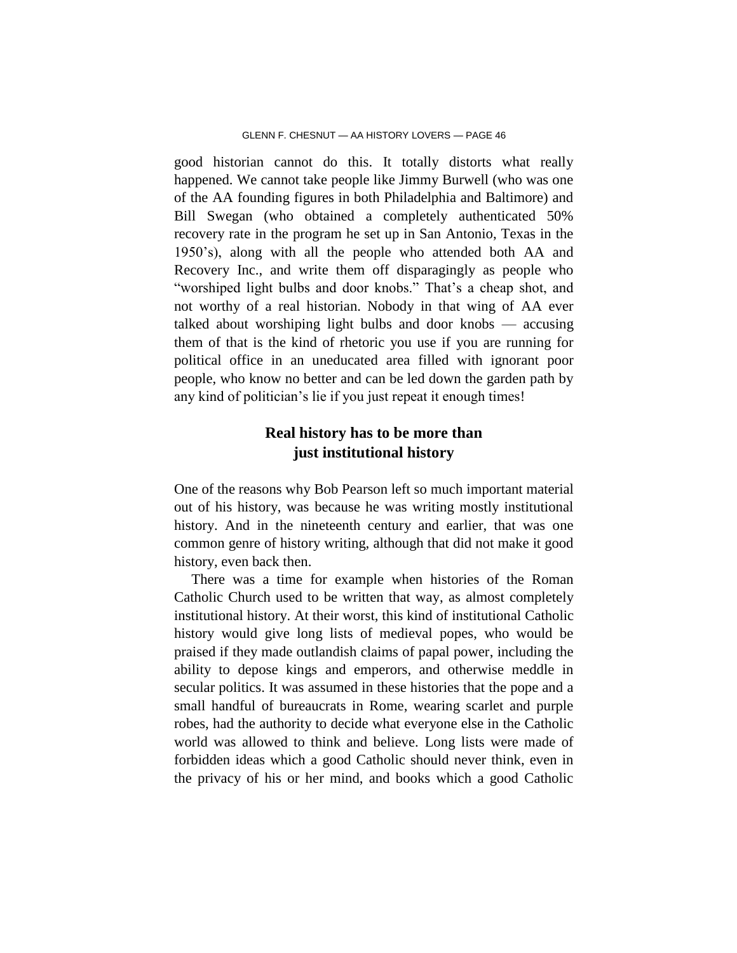good historian cannot do this. It totally distorts what really happened. We cannot take people like Jimmy Burwell (who was one of the AA founding figures in both Philadelphia and Baltimore) and Bill Swegan (who obtained a completely authenticated 50% recovery rate in the program he set up in San Antonio, Texas in the 1950's), along with all the people who attended both AA and Recovery Inc., and write them off disparagingly as people who "worshiped light bulbs and door knobs." That's a cheap shot, and not worthy of a real historian. Nobody in that wing of AA ever talked about worshiping light bulbs and door knobs — accusing them of that is the kind of rhetoric you use if you are running for political office in an uneducated area filled with ignorant poor people, who know no better and can be led down the garden path by any kind of politician's lie if you just repeat it enough times!

# **Real history has to be more than just institutional history**

One of the reasons why Bob Pearson left so much important material out of his history, was because he was writing mostly institutional history. And in the nineteenth century and earlier, that was one common genre of history writing, although that did not make it good history, even back then.

There was a time for example when histories of the Roman Catholic Church used to be written that way, as almost completely institutional history. At their worst, this kind of institutional Catholic history would give long lists of medieval popes, who would be praised if they made outlandish claims of papal power, including the ability to depose kings and emperors, and otherwise meddle in secular politics. It was assumed in these histories that the pope and a small handful of bureaucrats in Rome, wearing scarlet and purple robes, had the authority to decide what everyone else in the Catholic world was allowed to think and believe. Long lists were made of forbidden ideas which a good Catholic should never think, even in the privacy of his or her mind, and books which a good Catholic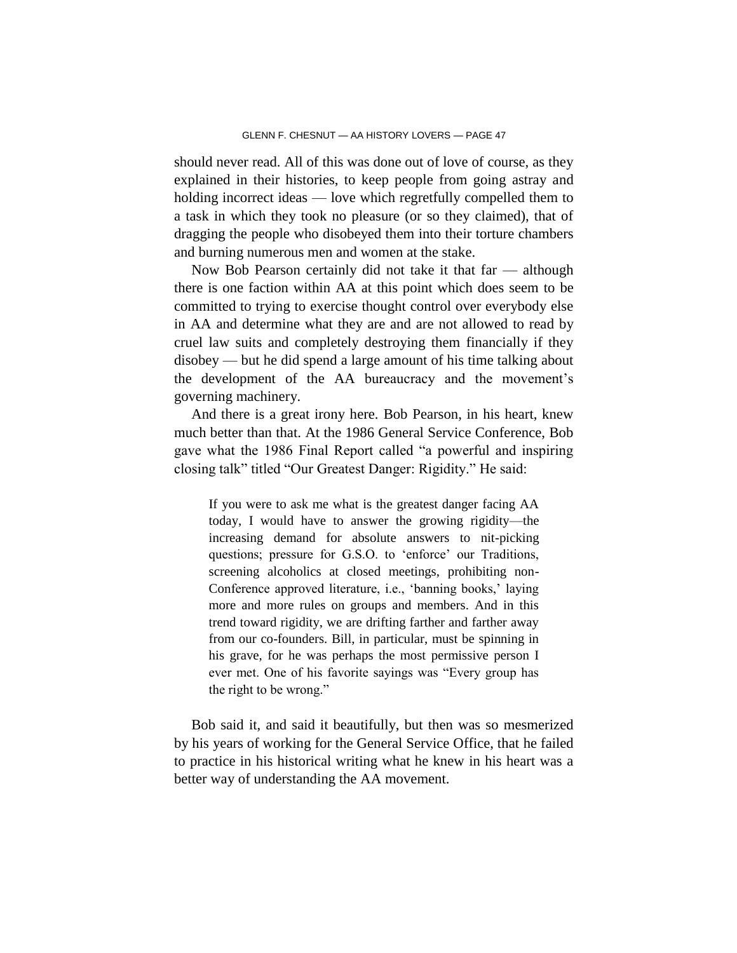should never read. All of this was done out of love of course, as they explained in their histories, to keep people from going astray and holding incorrect ideas — love which regretfully compelled them to a task in which they took no pleasure (or so they claimed), that of dragging the people who disobeyed them into their torture chambers and burning numerous men and women at the stake.

Now Bob Pearson certainly did not take it that far — although there is one faction within AA at this point which does seem to be committed to trying to exercise thought control over everybody else in AA and determine what they are and are not allowed to read by cruel law suits and completely destroying them financially if they disobey — but he did spend a large amount of his time talking about the development of the AA bureaucracy and the movement's governing machinery.

And there is a great irony here. Bob Pearson, in his heart, knew much better than that. At the 1986 General Service Conference, Bob gave what the 1986 Final Report called "a powerful and inspiring closing talk" titled "Our Greatest Danger: Rigidity." He said:

If you were to ask me what is the greatest danger facing AA today, I would have to answer the growing rigidity—the increasing demand for absolute answers to nit-picking questions; pressure for G.S.O. to 'enforce' our Traditions, screening alcoholics at closed meetings, prohibiting non-Conference approved literature, i.e., 'banning books,' laying more and more rules on groups and members. And in this trend toward rigidity, we are drifting farther and farther away from our co-founders. Bill, in particular, must be spinning in his grave, for he was perhaps the most permissive person I ever met. One of his favorite sayings was "Every group has the right to be wrong."

Bob said it, and said it beautifully, but then was so mesmerized by his years of working for the General Service Office, that he failed to practice in his historical writing what he knew in his heart was a better way of understanding the AA movement.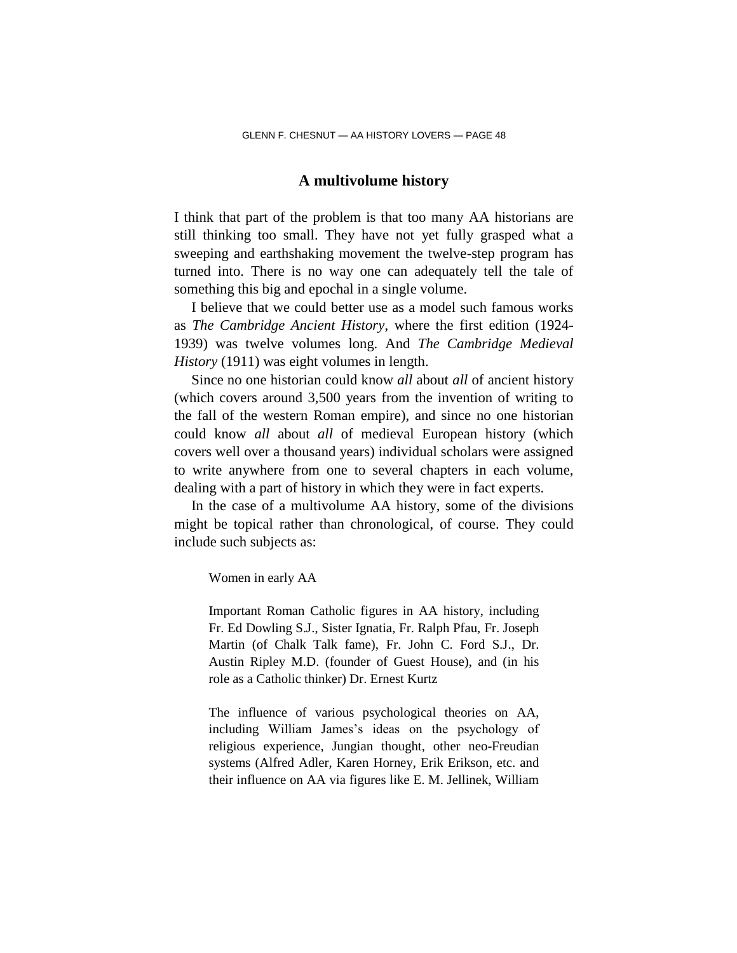### **A multivolume history**

I think that part of the problem is that too many AA historians are still thinking too small. They have not yet fully grasped what a sweeping and earthshaking movement the twelve-step program has turned into. There is no way one can adequately tell the tale of something this big and epochal in a single volume.

I believe that we could better use as a model such famous works as *The Cambridge Ancient History*, where the first edition (1924- 1939) was twelve volumes long. And *The Cambridge Medieval History* (1911) was eight volumes in length.

Since no one historian could know *all* about *all* of ancient history (which covers around 3,500 years from the invention of writing to the fall of the western Roman empire), and since no one historian could know *all* about *all* of medieval European history (which covers well over a thousand years) individual scholars were assigned to write anywhere from one to several chapters in each volume, dealing with a part of history in which they were in fact experts.

In the case of a multivolume AA history, some of the divisions might be topical rather than chronological, of course. They could include such subjects as:

Women in early AA

Important Roman Catholic figures in AA history, including Fr. Ed Dowling S.J., Sister Ignatia, Fr. Ralph Pfau, Fr. Joseph Martin (of Chalk Talk fame), Fr. John C. Ford S.J., Dr. Austin Ripley M.D. (founder of Guest House), and (in his role as a Catholic thinker) Dr. Ernest Kurtz

The influence of various psychological theories on AA, including William James's ideas on the psychology of religious experience, Jungian thought, other neo-Freudian systems (Alfred Adler, Karen Horney, Erik Erikson, etc. and their influence on AA via figures like E. M. Jellinek, William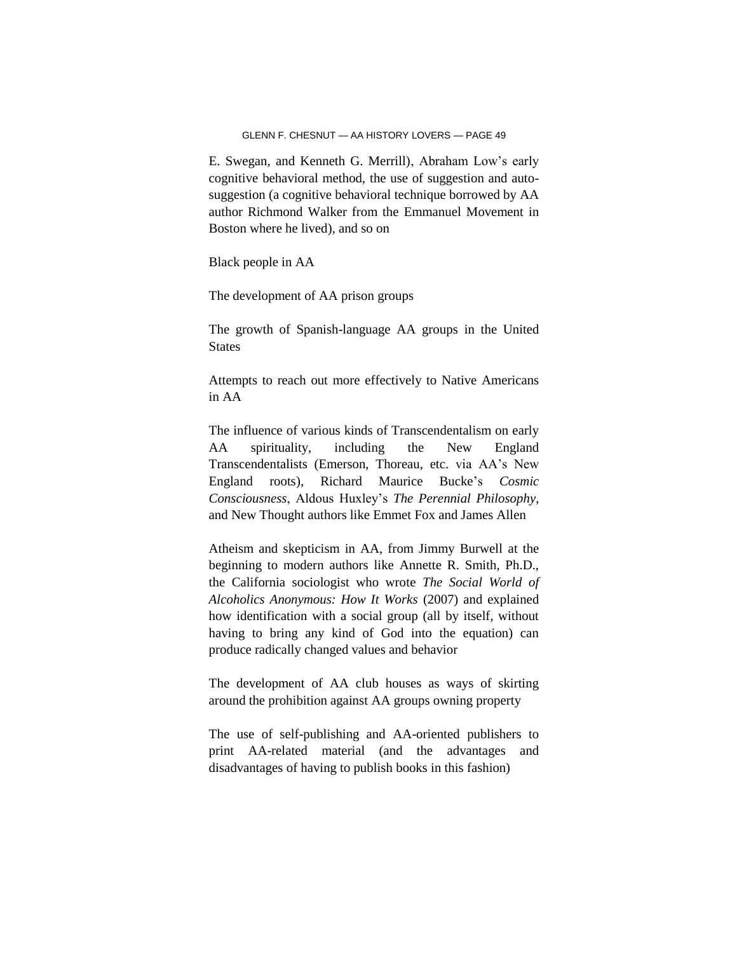E. Swegan, and Kenneth G. Merrill), Abraham Low's early cognitive behavioral method, the use of suggestion and autosuggestion (a cognitive behavioral technique borrowed by AA author Richmond Walker from the Emmanuel Movement in Boston where he lived), and so on

Black people in AA

The development of AA prison groups

The growth of Spanish-language AA groups in the United **States** 

Attempts to reach out more effectively to Native Americans in AA

The influence of various kinds of Transcendentalism on early AA spirituality, including the New England Transcendentalists (Emerson, Thoreau, etc. via AA's New England roots), Richard Maurice Bucke's *Cosmic Consciousness*, Aldous Huxley's *The Perennial Philosophy*, and New Thought authors like Emmet Fox and James Allen

Atheism and skepticism in AA, from Jimmy Burwell at the beginning to modern authors like Annette R. Smith, Ph.D., the California sociologist who wrote *The Social World of Alcoholics Anonymous: How It Works* (2007) and explained how identification with a social group (all by itself, without having to bring any kind of God into the equation) can produce radically changed values and behavior

The development of AA club houses as ways of skirting around the prohibition against AA groups owning property

The use of self-publishing and AA-oriented publishers to print AA-related material (and the advantages and disadvantages of having to publish books in this fashion)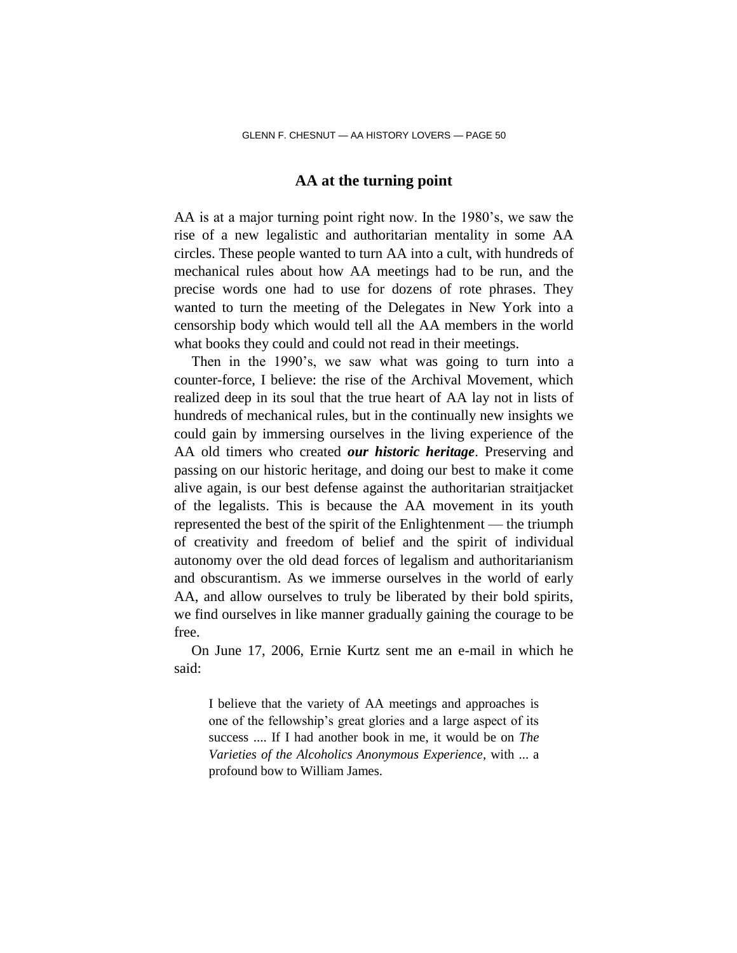### **AA at the turning point**

AA is at a major turning point right now. In the 1980's, we saw the rise of a new legalistic and authoritarian mentality in some AA circles. These people wanted to turn AA into a cult, with hundreds of mechanical rules about how AA meetings had to be run, and the precise words one had to use for dozens of rote phrases. They wanted to turn the meeting of the Delegates in New York into a censorship body which would tell all the AA members in the world what books they could and could not read in their meetings.

Then in the 1990's, we saw what was going to turn into a counter-force, I believe: the rise of the Archival Movement, which realized deep in its soul that the true heart of AA lay not in lists of hundreds of mechanical rules, but in the continually new insights we could gain by immersing ourselves in the living experience of the AA old timers who created *our historic heritage*. Preserving and passing on our historic heritage, and doing our best to make it come alive again, is our best defense against the authoritarian straitjacket of the legalists. This is because the AA movement in its youth represented the best of the spirit of the Enlightenment — the triumph of creativity and freedom of belief and the spirit of individual autonomy over the old dead forces of legalism and authoritarianism and obscurantism. As we immerse ourselves in the world of early AA, and allow ourselves to truly be liberated by their bold spirits, we find ourselves in like manner gradually gaining the courage to be free.

On June 17, 2006, Ernie Kurtz sent me an e-mail in which he said:

I believe that the variety of AA meetings and approaches is one of the fellowship's great glories and a large aspect of its success .... If I had another book in me, it would be on *The Varieties of the Alcoholics Anonymous Experience*, with ... a profound bow to William James.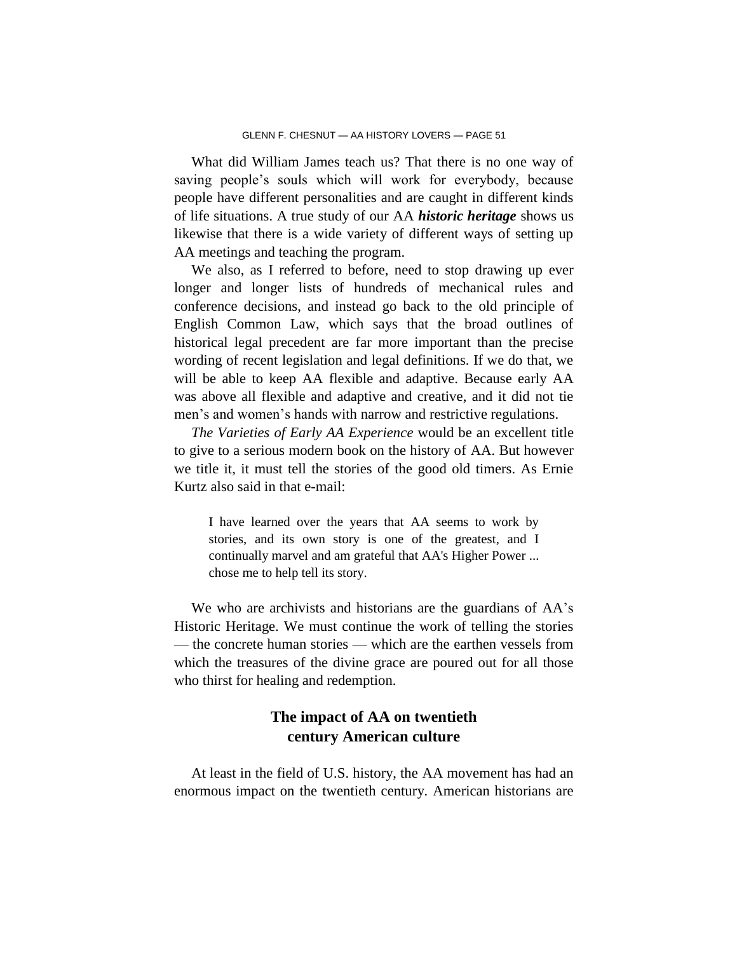What did William James teach us? That there is no one way of saving people's souls which will work for everybody, because people have different personalities and are caught in different kinds of life situations. A true study of our AA *historic heritage* shows us likewise that there is a wide variety of different ways of setting up AA meetings and teaching the program.

We also, as I referred to before, need to stop drawing up ever longer and longer lists of hundreds of mechanical rules and conference decisions, and instead go back to the old principle of English Common Law, which says that the broad outlines of historical legal precedent are far more important than the precise wording of recent legislation and legal definitions. If we do that, we will be able to keep AA flexible and adaptive. Because early AA was above all flexible and adaptive and creative, and it did not tie men's and women's hands with narrow and restrictive regulations.

*The Varieties of Early AA Experience* would be an excellent title to give to a serious modern book on the history of AA. But however we title it, it must tell the stories of the good old timers. As Ernie Kurtz also said in that e-mail:

I have learned over the years that AA seems to work by stories, and its own story is one of the greatest, and I continually marvel and am grateful that AA's Higher Power ... chose me to help tell its story.

We who are archivists and historians are the guardians of AA's Historic Heritage. We must continue the work of telling the stories — the concrete human stories — which are the earthen vessels from which the treasures of the divine grace are poured out for all those who thirst for healing and redemption.

# **The impact of AA on twentieth century American culture**

At least in the field of U.S. history, the AA movement has had an enormous impact on the twentieth century. American historians are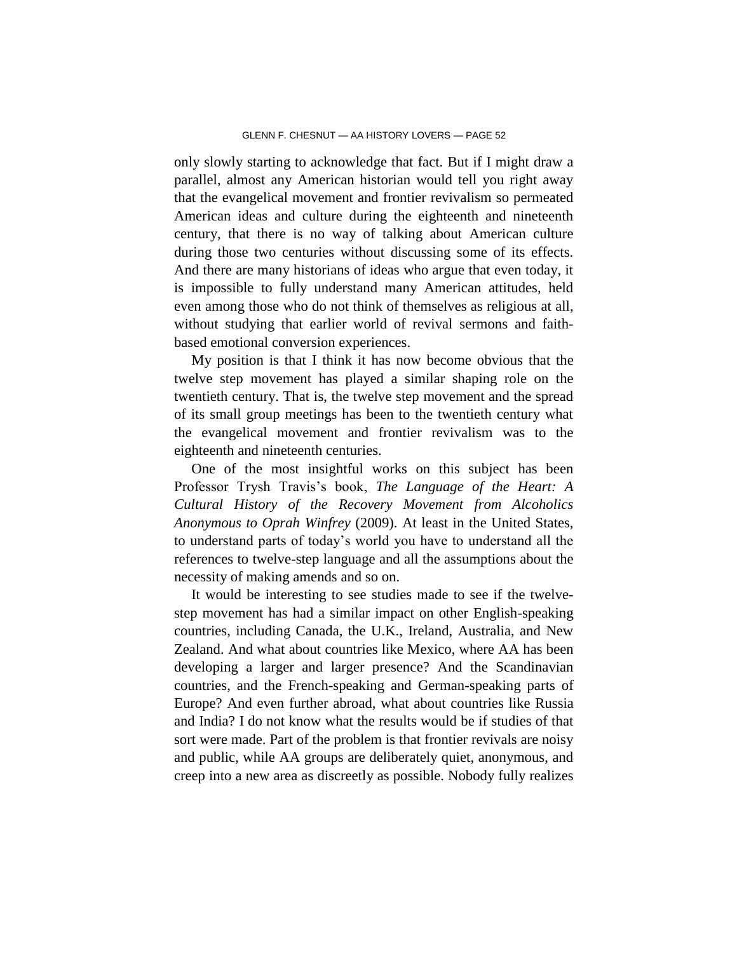only slowly starting to acknowledge that fact. But if I might draw a parallel, almost any American historian would tell you right away that the evangelical movement and frontier revivalism so permeated American ideas and culture during the eighteenth and nineteenth century, that there is no way of talking about American culture during those two centuries without discussing some of its effects. And there are many historians of ideas who argue that even today, it is impossible to fully understand many American attitudes, held even among those who do not think of themselves as religious at all, without studying that earlier world of revival sermons and faithbased emotional conversion experiences.

My position is that I think it has now become obvious that the twelve step movement has played a similar shaping role on the twentieth century. That is, the twelve step movement and the spread of its small group meetings has been to the twentieth century what the evangelical movement and frontier revivalism was to the eighteenth and nineteenth centuries.

One of the most insightful works on this subject has been Professor Trysh Travis's book, *The Language of the Heart: A Cultural History of the Recovery Movement from Alcoholics Anonymous to Oprah Winfrey* (2009). At least in the United States, to understand parts of today's world you have to understand all the references to twelve-step language and all the assumptions about the necessity of making amends and so on.

It would be interesting to see studies made to see if the twelvestep movement has had a similar impact on other English-speaking countries, including Canada, the U.K., Ireland, Australia, and New Zealand. And what about countries like Mexico, where AA has been developing a larger and larger presence? And the Scandinavian countries, and the French-speaking and German-speaking parts of Europe? And even further abroad, what about countries like Russia and India? I do not know what the results would be if studies of that sort were made. Part of the problem is that frontier revivals are noisy and public, while AA groups are deliberately quiet, anonymous, and creep into a new area as discreetly as possible. Nobody fully realizes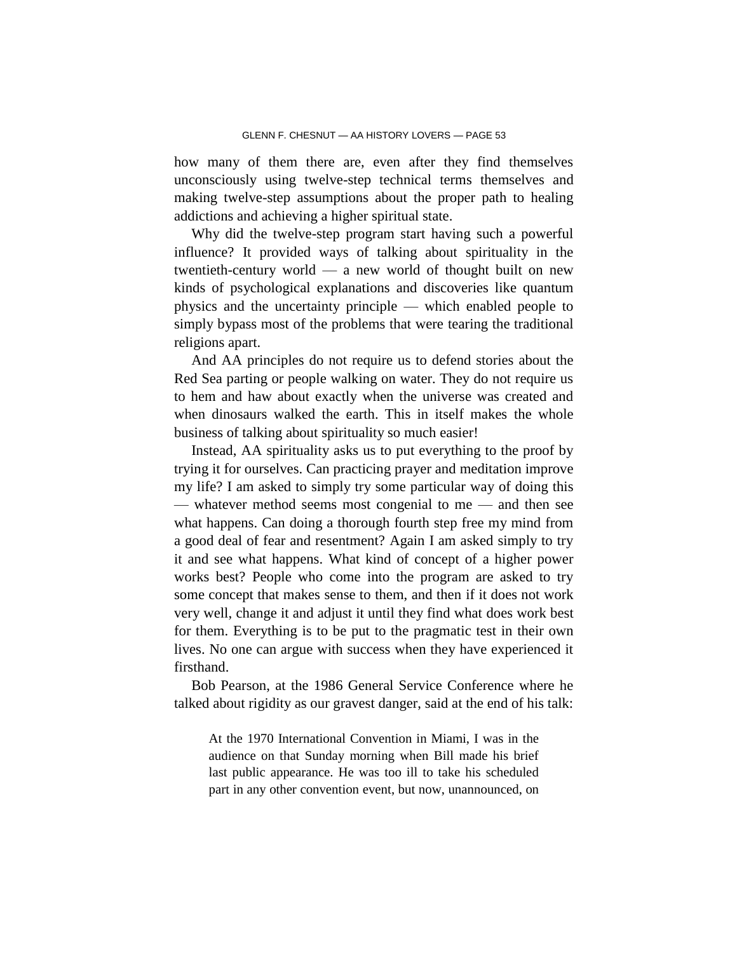how many of them there are, even after they find themselves unconsciously using twelve-step technical terms themselves and making twelve-step assumptions about the proper path to healing addictions and achieving a higher spiritual state.

Why did the twelve-step program start having such a powerful influence? It provided ways of talking about spirituality in the twentieth-century world — a new world of thought built on new kinds of psychological explanations and discoveries like quantum physics and the uncertainty principle — which enabled people to simply bypass most of the problems that were tearing the traditional religions apart.

And AA principles do not require us to defend stories about the Red Sea parting or people walking on water. They do not require us to hem and haw about exactly when the universe was created and when dinosaurs walked the earth. This in itself makes the whole business of talking about spirituality so much easier!

Instead, AA spirituality asks us to put everything to the proof by trying it for ourselves. Can practicing prayer and meditation improve my life? I am asked to simply try some particular way of doing this — whatever method seems most congenial to me — and then see what happens. Can doing a thorough fourth step free my mind from a good deal of fear and resentment? Again I am asked simply to try it and see what happens. What kind of concept of a higher power works best? People who come into the program are asked to try some concept that makes sense to them, and then if it does not work very well, change it and adjust it until they find what does work best for them. Everything is to be put to the pragmatic test in their own lives. No one can argue with success when they have experienced it firsthand.

Bob Pearson, at the 1986 General Service Conference where he talked about rigidity as our gravest danger, said at the end of his talk:

At the 1970 International Convention in Miami, I was in the audience on that Sunday morning when Bill made his brief last public appearance. He was too ill to take his scheduled part in any other convention event, but now, unannounced, on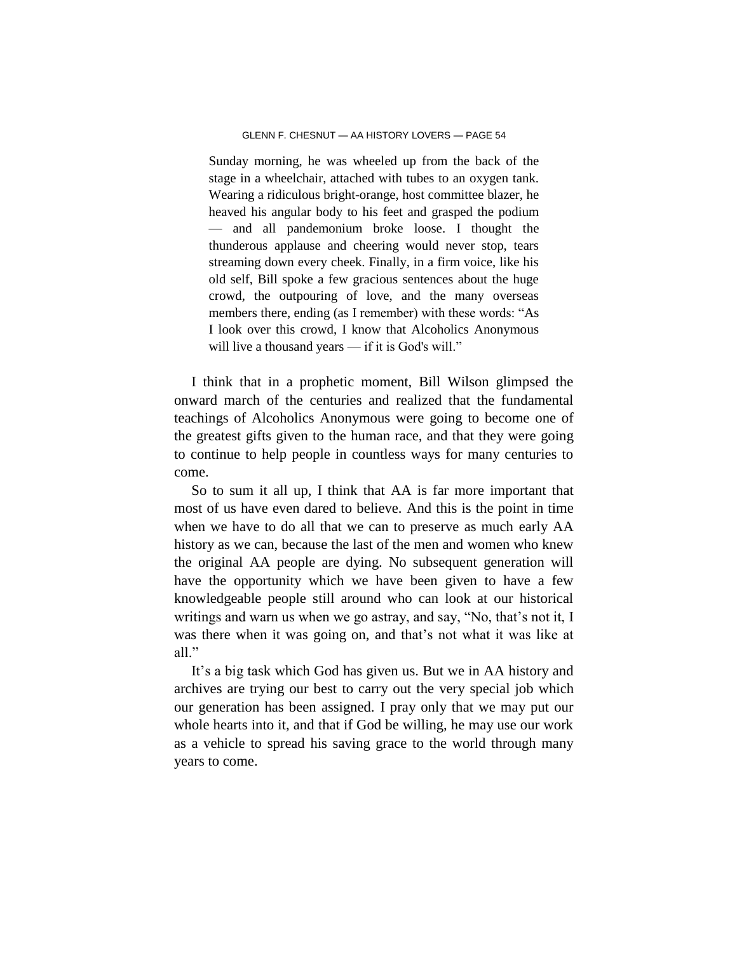Sunday morning, he was wheeled up from the back of the stage in a wheelchair, attached with tubes to an oxygen tank. Wearing a ridiculous bright-orange, host committee blazer, he heaved his angular body to his feet and grasped the podium — and all pandemonium broke loose. I thought the thunderous applause and cheering would never stop, tears streaming down every cheek. Finally, in a firm voice, like his old self, Bill spoke a few gracious sentences about the huge crowd, the outpouring of love, and the many overseas members there, ending (as I remember) with these words: "As I look over this crowd, I know that Alcoholics Anonymous will live a thousand years — if it is God's will."

I think that in a prophetic moment, Bill Wilson glimpsed the onward march of the centuries and realized that the fundamental teachings of Alcoholics Anonymous were going to become one of the greatest gifts given to the human race, and that they were going to continue to help people in countless ways for many centuries to come.

So to sum it all up, I think that AA is far more important that most of us have even dared to believe. And this is the point in time when we have to do all that we can to preserve as much early AA history as we can, because the last of the men and women who knew the original AA people are dying. No subsequent generation will have the opportunity which we have been given to have a few knowledgeable people still around who can look at our historical writings and warn us when we go astray, and say, "No, that's not it, I was there when it was going on, and that's not what it was like at all."

It's a big task which God has given us. But we in AA history and archives are trying our best to carry out the very special job which our generation has been assigned. I pray only that we may put our whole hearts into it, and that if God be willing, he may use our work as a vehicle to spread his saving grace to the world through many years to come.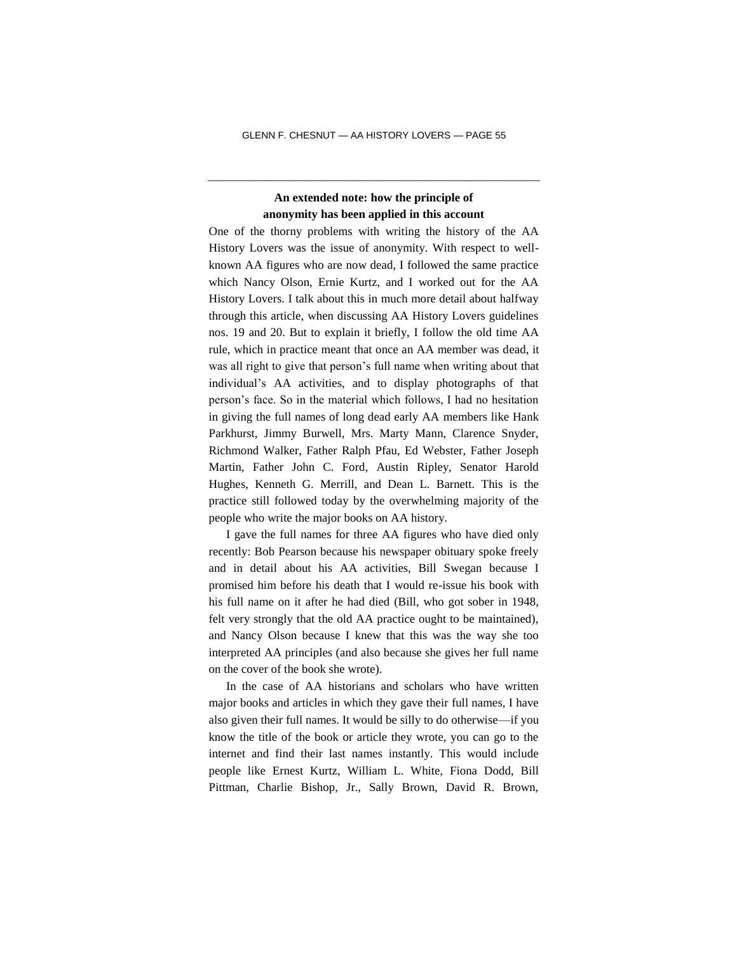### **An extended note: how the principle of anonymity has been applied in this account**

———————————————————————

One of the thorny problems with writing the history of the AA History Lovers was the issue of anonymity. With respect to wellknown AA figures who are now dead, I followed the same practice which Nancy Olson, Ernie Kurtz, and I worked out for the AA History Lovers. I talk about this in much more detail about halfway through this article, when discussing AA History Lovers guidelines nos. 19 and 20. But to explain it briefly, I follow the old time AA rule, which in practice meant that once an AA member was dead, it was all right to give that person's full name when writing about that individual's AA activities, and to display photographs of that person's face. So in the material which follows, I had no hesitation in giving the full names of long dead early AA members like Hank Parkhurst, Jimmy Burwell, Mrs. Marty Mann, Clarence Snyder, Richmond Walker, Father Ralph Pfau, Ed Webster, Father Joseph Martin, Father John C. Ford, Austin Ripley, Senator Harold Hughes, Kenneth G. Merrill, and Dean L. Barnett. This is the practice still followed today by the overwhelming majority of the people who write the major books on AA history.

I gave the full names for three AA figures who have died only recently: Bob Pearson because his newspaper obituary spoke freely and in detail about his AA activities, Bill Swegan because I promised him before his death that I would re-issue his book with his full name on it after he had died (Bill, who got sober in 1948, felt very strongly that the old AA practice ought to be maintained), and Nancy Olson because I knew that this was the way she too interpreted AA principles (and also because she gives her full name on the cover of the book she wrote).

In the case of AA historians and scholars who have written major books and articles in which they gave their full names, I have also given their full names. It would be silly to do otherwise—if you know the title of the book or article they wrote, you can go to the internet and find their last names instantly. This would include people like Ernest Kurtz, William L. White, Fiona Dodd, Bill Pittman, Charlie Bishop, Jr., Sally Brown, David R. Brown,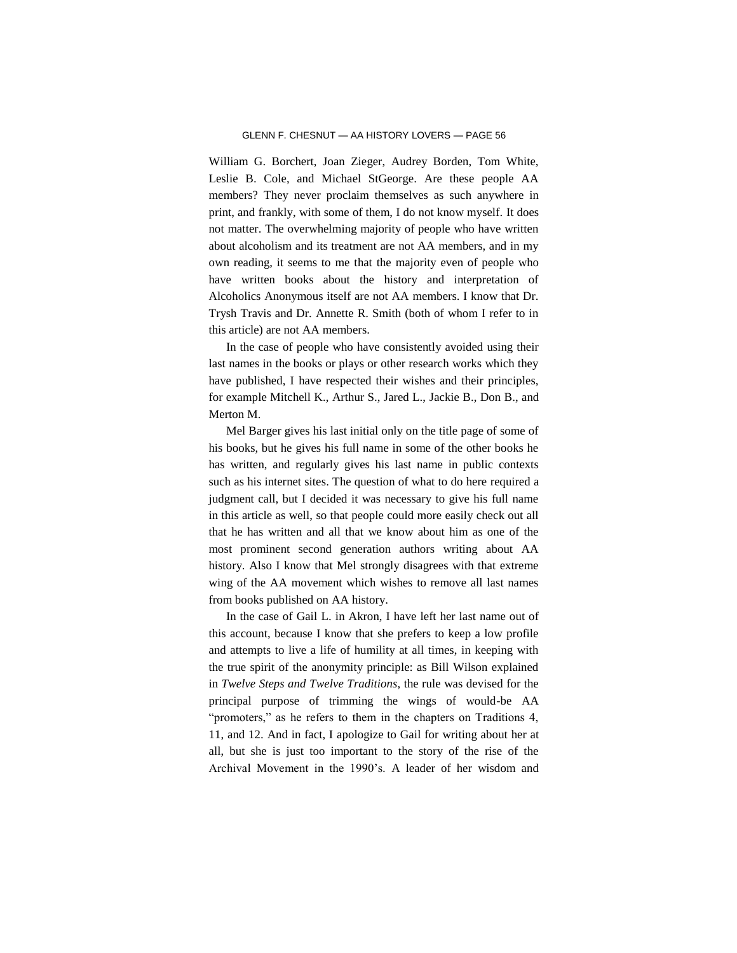William G. Borchert, Joan Zieger, Audrey Borden, Tom White, Leslie B. Cole, and Michael StGeorge. Are these people AA members? They never proclaim themselves as such anywhere in print, and frankly, with some of them, I do not know myself. It does not matter. The overwhelming majority of people who have written about alcoholism and its treatment are not AA members, and in my own reading, it seems to me that the majority even of people who have written books about the history and interpretation of Alcoholics Anonymous itself are not AA members. I know that Dr. Trysh Travis and Dr. Annette R. Smith (both of whom I refer to in this article) are not AA members.

In the case of people who have consistently avoided using their last names in the books or plays or other research works which they have published, I have respected their wishes and their principles, for example Mitchell K., Arthur S., Jared L., Jackie B., Don B., and Merton M.

Mel Barger gives his last initial only on the title page of some of his books, but he gives his full name in some of the other books he has written, and regularly gives his last name in public contexts such as his internet sites. The question of what to do here required a judgment call, but I decided it was necessary to give his full name in this article as well, so that people could more easily check out all that he has written and all that we know about him as one of the most prominent second generation authors writing about AA history. Also I know that Mel strongly disagrees with that extreme wing of the AA movement which wishes to remove all last names from books published on AA history.

In the case of Gail L. in Akron, I have left her last name out of this account, because I know that she prefers to keep a low profile and attempts to live a life of humility at all times, in keeping with the true spirit of the anonymity principle: as Bill Wilson explained in *Twelve Steps and Twelve Traditions*, the rule was devised for the principal purpose of trimming the wings of would-be AA "promoters," as he refers to them in the chapters on Traditions 4, 11, and 12. And in fact, I apologize to Gail for writing about her at all, but she is just too important to the story of the rise of the Archival Movement in the 1990's. A leader of her wisdom and